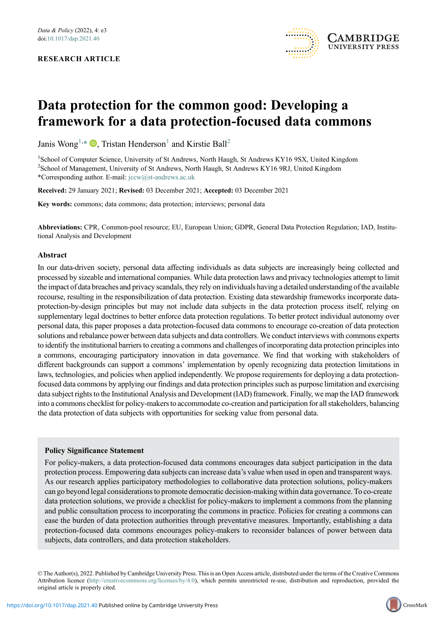#### RESEARCH ARTICLE



# Data protection for the common good: Developing a framework for a data protection-focused data commons

Janis Wong<sup>[1](#page-0-0),[\\*](#page-0-1)</sup>  $\bullet$ , Tristan Henderson<sup>1</sup> and Kirstie Ball<sup>[2](#page-0-2)</sup>

<span id="page-0-2"></span><span id="page-0-1"></span><span id="page-0-0"></span>1 School of Computer Science, University of St Andrews, North Haugh, St Andrews KY16 9SX, United Kingdom <sup>2</sup>School of Management, University of St Andrews, North Haugh, St Andrews KY16 9RJ, United Kingdom \*Corresponding author. E-mail: [jccw@st-andrews.ac.uk](mailto:jccw@st-andrews.ac.uk)

Received: 29 January 2021; Revised: 03 December 2021; Accepted: 03 December 2021

Key words: commons; data commons; data protection; interviews; personal data

Abbreviations: CPR, Common-pool resource; EU, European Union; GDPR, General Data Protection Regulation; IAD, Institutional Analysis and Development

#### Abstract

In our data-driven society, personal data affecting individuals as data subjects are increasingly being collected and processed by sizeable and international companies. While data protection laws and privacy technologies attempt to limit the impact of data breaches and privacy scandals, they rely on individuals having a detailed understanding of the available recourse, resulting in the responsibilization of data protection. Existing data stewardship frameworks incorporate dataprotection-by-design principles but may not include data subjects in the data protection process itself, relying on supplementary legal doctrines to better enforce data protection regulations. To better protect individual autonomy over personal data, this paper proposes a data protection-focused data commons to encourage co-creation of data protection solutions and rebalance power between data subjects and data controllers. We conduct interviews with commons experts to identify the institutional barriers to creating a commons and challenges of incorporating data protection principles into a commons, encouraging participatory innovation in data governance. We find that working with stakeholders of different backgrounds can support a commons' implementation by openly recognizing data protection limitations in laws, technologies, and policies when applied independently. We propose requirements for deploying a data protectionfocused data commons by applying our findings and data protection principles such as purpose limitation and exercising data subject rights to the Institutional Analysis and Development (IAD) framework. Finally, we map the IAD framework into a commons checklist for policy-makers to accommodate co-creation and participation for all stakeholders, balancing the data protection of data subjects with opportunities for seeking value from personal data.

#### Policy Significance Statement

For policy-makers, a data protection-focused data commons encourages data subject participation in the data protection process. Empowering data subjects can increase data's value when used in open and transparent ways. As our research applies participatory methodologies to collaborative data protection solutions, policy-makers can go beyond legal considerations to promote democratic decision-making within data governance. To co-create data protection solutions, we provide a checklist for policy-makers to implement a commons from the planning and public consultation process to incorporating the commons in practice. Policies for creating a commons can ease the burden of data protection authorities through preventative measures. Importantly, establishing a data protection-focused data commons encourages policy-makers to reconsider balances of power between data subjects, data controllers, and data protection stakeholders.

© The Author(s), 2022. Published by Cambridge University Press. This is an Open Access article, distributed under the terms of the Creative Commons Attribution licence ([http://creativecommons.org/licenses/by/4.0\)](http://creativecommons.org/licenses/by/4.0), which permits unrestricted re-use, distribution and reproduction, provided the original article is properly cited.

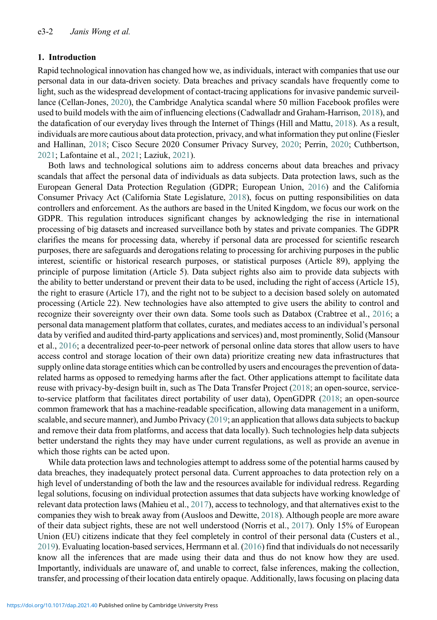## 1. Introduction

Rapid technological innovation has changed how we, as individuals, interact with companies that use our personal data in our data-driven society. Data breaches and privacy scandals have frequently come to light, such as the widespread development of contact-tracing applications for invasive pandemic surveillance (Cellan-Jones, [2020](#page-27-0)), the Cambridge Analytica scandal where 50 million Facebook profiles were used to build models with the aim of influencing elections (Cadwalladr and Graham-Harrison, [2018\)](#page-27-1), and the datafication of our everyday lives through the Internet of Things (Hill and Mattu, [2018](#page-28-0)). As a result, individuals are more cautious about data protection, privacy, and what information they put online (Fiesler and Hallinan, [2018](#page-28-1); Cisco Secure 2020 Consumer Privacy Survey, [2020](#page-27-2); Perrin, [2020;](#page-29-0) Cuthbertson, [2021](#page-27-3); Lafontaine et al., [2021](#page-28-2); Laziuk, [2021\)](#page-28-3).

Both laws and technological solutions aim to address concerns about data breaches and privacy scandals that affect the personal data of individuals as data subjects. Data protection laws, such as the European General Data Protection Regulation (GDPR; European Union, [2016\)](#page-28-4) and the California Consumer Privacy Act (California State Legislature, [2018](#page-27-4)), focus on putting responsibilities on data controllers and enforcement. As the authors are based in the United Kingdom, we focus our work on the GDPR. This regulation introduces significant changes by acknowledging the rise in international processing of big datasets and increased surveillance both by states and private companies. The GDPR clarifies the means for processing data, whereby if personal data are processed for scientific research purposes, there are safeguards and derogations relating to processing for archiving purposes in the public interest, scientific or historical research purposes, or statistical purposes (Article 89), applying the principle of purpose limitation (Article 5). Data subject rights also aim to provide data subjects with the ability to better understand or prevent their data to be used, including the right of access (Article 15), the right to erasure (Article 17), and the right not to be subject to a decision based solely on automated processing (Article 22). New technologies have also attempted to give users the ability to control and recognize their sovereignty over their own data. Some tools such as Databox (Crabtree et al., [2016;](#page-27-5) a personal data management platform that collates, curates, and mediates access to an individual's personal data by verified and audited third-party applications and services) and, most prominently, Solid (Mansour et al., [2016;](#page-29-1) a decentralized peer-to-peer network of personal online data stores that allow users to have access control and storage location of their own data) prioritize creating new data infrastructures that supply online data storage entities which can be controlled by users and encourages the prevention of datarelated harms as opposed to remedying harms after the fact. Other applications attempt to facilitate data reuse with privacy-by-design built in, such as The Data Transfer Project [\(2018](#page-30-0); an open-source, serviceto-service platform that facilitates direct portability of user data), OpenGDPR ([2018](#page-29-2); an open-source common framework that has a machine-readable specification, allowing data management in a uniform, scalable, and secure manner), and Jumbo Privacy ([2019;](#page-28-5) an application that allows data subjects to backup and remove their data from platforms, and access that data locally). Such technologies help data subjects better understand the rights they may have under current regulations, as well as provide an avenue in which those rights can be acted upon.

While data protection laws and technologies attempt to address some of the potential harms caused by data breaches, they inadequately protect personal data. Current approaches to data protection rely on a high level of understanding of both the law and the resources available for individual redress. Regarding legal solutions, focusing on individual protection assumes that data subjects have working knowledge of relevant data protection laws (Mahieu et al., [2017](#page-28-6)), access to technology, and that alternatives exist to the companies they wish to break away from (Ausloos and Dewitte, [2018\)](#page-27-6). Although people are more aware of their data subject rights, these are not well understood (Norris et al., [2017](#page-29-3)). Only 15% of European Union (EU) citizens indicate that they feel completely in control of their personal data (Custers et al., [2019](#page-27-7)). Evaluating location-based services, Herrmann et al. [\(2016](#page-28-7)) find that individuals do not necessarily know all the inferences that are made using their data and thus do not know how they are used. Importantly, individuals are unaware of, and unable to correct, false inferences, making the collection, transfer, and processing of their location data entirely opaque. Additionally, laws focusing on placing data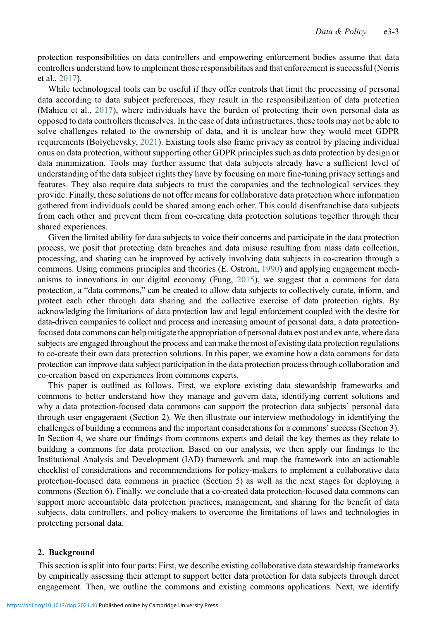protection responsibilities on data controllers and empowering enforcement bodies assume that data controllers understand how to implement those responsibilities and that enforcement is successful (Norris et al., [2017\)](#page-29-3).

While technological tools can be useful if they offer controls that limit the processing of personal data according to data subject preferences, they result in the responsibilization of data protection (Mahieu et al., [2017\)](#page-28-6), where individuals have the burden of protecting their own personal data as opposed to data controllers themselves. In the case of data infrastructures, these tools may not be able to solve challenges related to the ownership of data, and it is unclear how they would meet GDPR requirements (Bolychevsky, [2021\)](#page-27-8). Existing tools also frame privacy as control by placing individual onus on data protection, without supporting other GDPR principles such as data protection by design or data minimization. Tools may further assume that data subjects already have a sufficient level of understanding of the data subject rights they have by focusing on more fine-tuning privacy settings and features. They also require data subjects to trust the companies and the technological services they provide. Finally, these solutions do not offer means for collaborative data protection where information gathered from individuals could be shared among each other. This could disenfranchise data subjects from each other and prevent them from co-creating data protection solutions together through their shared experiences.

Given the limited ability for data subjects to voice their concerns and participate in the data protection process, we posit that protecting data breaches and data misuse resulting from mass data collection, processing, and sharing can be improved by actively involving data subjects in co-creation through a commons. Using commons principles and theories (E. Ostrom, [1990](#page-29-4)) and applying engagement mechanisms to innovations in our digital economy (Fung, [2015](#page-28-8)), we suggest that a commons for data protection, a "data commons," can be created to allow data subjects to collectively curate, inform, and protect each other through data sharing and the collective exercise of data protection rights. By acknowledging the limitations of data protection law and legal enforcement coupled with the desire for data-driven companies to collect and process and increasing amount of personal data, a data protectionfocused data commons can help mitigate the appropriation of personal data ex post and ex ante, where data subjects are engaged throughout the process and can make the most of existing data protection regulations to co-create their own data protection solutions. In this paper, we examine how a data commons for data protection can improve data subject participation in the data protection process through collaboration and co-creation based on experiences from commons experts.

This paper is outlined as follows. First, we explore existing data stewardship frameworks and commons to better understand how they manage and govern data, identifying current solutions and why a data protection-focused data commons can support the protection data subjects' personal data through user engagement (Section 2). We then illustrate our interview methodology in identifying the challenges of building a commons and the important considerations for a commons'success (Section 3). In Section 4, we share our findings from commons experts and detail the key themes as they relate to building a commons for data protection. Based on our analysis, we then apply our findings to the Institutional Analysis and Development (IAD) framework and map the framework into an actionable checklist of considerations and recommendations for policy-makers to implement a collaborative data protection-focused data commons in practice (Section 5) as well as the next stages for deploying a commons (Section 6). Finally, we conclude that a co-created data protection-focused data commons can support more accountable data protection practices, management, and sharing for the benefit of data subjects, data controllers, and policy-makers to overcome the limitations of laws and technologies in protecting personal data.

#### 2. Background

This section is split into four parts: First, we describe existing collaborative data stewardship frameworks by empirically assessing their attempt to support better data protection for data subjects through direct engagement. Then, we outline the commons and existing commons applications. Next, we identify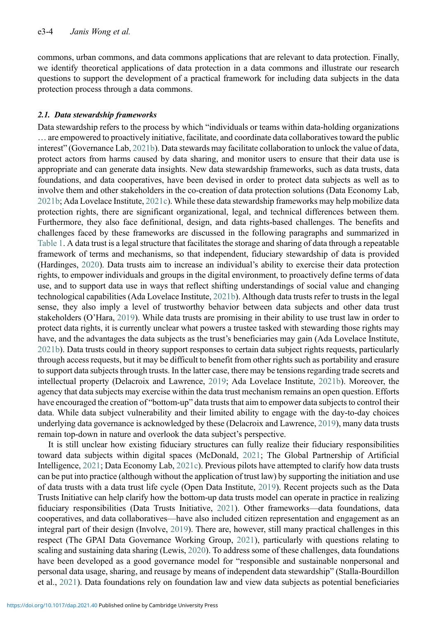commons, urban commons, and data commons applications that are relevant to data protection. Finally, we identify theoretical applications of data protection in a data commons and illustrate our research questions to support the development of a practical framework for including data subjects in the data protection process through a data commons.

#### 2.1. Data stewardship frameworks

Data stewardship refers to the process by which "individuals or teams within data-holding organizations … are empowered to proactively initiative, facilitate, and coordinate data collaboratives toward the public interest" (Governance Lab, [2021b\)](#page-28-9). Data stewards may facilitate collaboration to unlock the value of data, protect actors from harms caused by data sharing, and monitor users to ensure that their data use is appropriate and can generate data insights. New data stewardship frameworks, such as data trusts, data foundations, and data cooperatives, have been devised in order to protect data subjects as well as to involve them and other stakeholders in the co-creation of data protection solutions (Data Economy Lab, [2021b](#page-27-9); Ada Lovelace Institute, [2021c\)](#page-26-0). While these data stewardship frameworks may help mobilize data protection rights, there are significant organizational, legal, and technical differences between them. Furthermore, they also face definitional, design, and data rights-based challenges. The benefits and challenges faced by these frameworks are discussed in the following paragraphs and summarized in [Table 1](#page-4-0). A data trust is a legal structure that facilitates the storage and sharing of data through a repeatable framework of terms and mechanisms, so that independent, fiduciary stewardship of data is provided (Hardinges, [2020](#page-28-10)). Data trusts aim to increase an individual's ability to exercise their data protection rights, to empower individuals and groups in the digital environment, to proactively define terms of data use, and to support data use in ways that reflect shifting understandings of social value and changing technological capabilities (Ada Lovelace Institute, [2021b\)](#page-26-1). Although data trusts refer to trusts in the legal sense, they also imply a level of trustworthy behavior between data subjects and other data trust stakeholders (O'Hara, [2019](#page-29-5)). While data trusts are promising in their ability to use trust law in order to protect data rights, it is currently unclear what powers a trustee tasked with stewarding those rights may have, and the advantages the data subjects as the trust's beneficiaries may gain (Ada Lovelace Institute, [2021b](#page-26-1)). Data trusts could in theory support responses to certain data subject rights requests, particularly through access requests, but it may be difficult to benefit from other rights such as portability and erasure to support data subjects through trusts. In the latter case, there may be tensions regarding trade secrets and intellectual property (Delacroix and Lawrence, [2019](#page-27-10); Ada Lovelace Institute, [2021b\)](#page-26-1). Moreover, the agency that data subjects may exercise within the data trust mechanism remains an open question. Efforts have encouraged the creation of "bottom-up" data trusts that aim to empower data subjects to control their data. While data subject vulnerability and their limited ability to engage with the day-to-day choices underlying data governance is acknowledged by these (Delacroix and Lawrence, [2019](#page-27-10)), many data trusts remain top-down in nature and overlook the data subject's perspective.

It is still unclear how existing fiduciary structures can fully realize their fiduciary responsibilities toward data subjects within digital spaces (McDonald, [2021](#page-29-6); The Global Partnership of Artificial Intelligence, [2021](#page-30-1); Data Economy Lab, [2021c\)](#page-27-11). Previous pilots have attempted to clarify how data trusts can be put into practice (although without the application of trust law) by supporting the initiation and use of data trusts with a data trust life cycle (Open Data Institute, [2019\)](#page-29-7). Recent projects such as the Data Trusts Initiative can help clarify how the bottom-up data trusts model can operate in practice in realizing fiduciary responsibilities (Data Trusts Initiative, [2021\)](#page-27-12). Other frameworks—data foundations, data cooperatives, and data collaboratives—have also included citizen representation and engagement as an integral part of their design (Involve, [2019](#page-28-11)). There are, however, still many practical challenges in this respect (The GPAI Data Governance Working Group, [2021](#page-30-2)), particularly with questions relating to scaling and sustaining data sharing (Lewis, [2020](#page-28-12)). To address some of these challenges, data foundations have been developed as a good governance model for "responsible and sustainable nonpersonal and personal data usage, sharing, and reusage by means of independent data stewardship" (Stalla-Bourdillon et al., [2021](#page-29-8)). Data foundations rely on foundation law and view data subjects as potential beneficiaries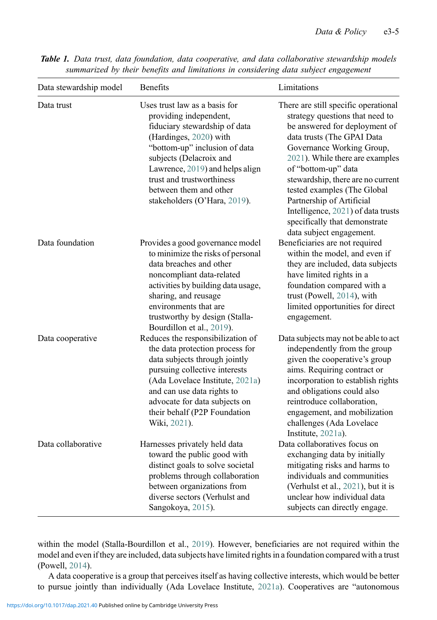| Data stewardship model | <b>Benefits</b>                                                                                                                                                                                                                                                                                          | Limitations                                                                                                                                                                                                                                                                                                                                                                                                                       |
|------------------------|----------------------------------------------------------------------------------------------------------------------------------------------------------------------------------------------------------------------------------------------------------------------------------------------------------|-----------------------------------------------------------------------------------------------------------------------------------------------------------------------------------------------------------------------------------------------------------------------------------------------------------------------------------------------------------------------------------------------------------------------------------|
| Data trust             | Uses trust law as a basis for<br>providing independent,<br>fiduciary stewardship of data<br>(Hardinges, 2020) with<br>"bottom-up" inclusion of data<br>subjects (Delacroix and<br>Lawrence, 2019) and helps align<br>trust and trustworthiness<br>between them and other<br>stakeholders (O'Hara, 2019). | There are still specific operational<br>strategy questions that need to<br>be answered for deployment of<br>data trusts (The GPAI Data<br>Governance Working Group,<br>2021). While there are examples<br>of "bottom-up" data<br>stewardship, there are no current<br>tested examples (The Global<br>Partnership of Artificial<br>Intelligence, 2021) of data trusts<br>specifically that demonstrate<br>data subject engagement. |
| Data foundation        | Provides a good governance model<br>to minimize the risks of personal<br>data breaches and other<br>noncompliant data-related<br>activities by building data usage,<br>sharing, and reusage<br>environments that are<br>trustworthy by design (Stalla-<br>Bourdillon et al., 2019).                      | Beneficiaries are not required<br>within the model, and even if<br>they are included, data subjects<br>have limited rights in a<br>foundation compared with a<br>trust (Powell, 2014), with<br>limited opportunities for direct<br>engagement.                                                                                                                                                                                    |
| Data cooperative       | Reduces the responsibilization of<br>the data protection process for<br>data subjects through jointly<br>pursuing collective interests<br>(Ada Lovelace Institute, 2021a)<br>and can use data rights to<br>advocate for data subjects on<br>their behalf (P2P Foundation<br>Wiki, 2021).                 | Data subjects may not be able to act<br>independently from the group<br>given the cooperative's group<br>aims. Requiring contract or<br>incorporation to establish rights<br>and obligations could also<br>reintroduce collaboration,<br>engagement, and mobilization<br>challenges (Ada Lovelace<br>Institute, 2021a).                                                                                                           |
| Data collaborative     | Harnesses privately held data<br>toward the public good with<br>distinct goals to solve societal<br>problems through collaboration<br>between organizations from<br>diverse sectors (Verhulst and<br>Sangokoya, 2015).                                                                                   | Data collaboratives focus on<br>exchanging data by initially<br>mitigating risks and harms to<br>individuals and communities<br>(Verhulst et al., 2021), but it is<br>unclear how individual data<br>subjects can directly engage.                                                                                                                                                                                                |

<span id="page-4-0"></span>Table 1. Data trust, data foundation, data cooperative, and data collaborative stewardship models summarized by their benefits and limitations in considering data subject engagement

within the model (Stalla-Bourdillon et al., [2019\)](#page-29-9). However, beneficiaries are not required within the model and even if they are included, data subjects have limited rights in a foundation compared with a trust (Powell, [2014](#page-29-10)).

A data cooperative is a group that perceives itself as having collective interests, which would be better to pursue jointly than individually (Ada Lovelace Institute, [2021a](#page-26-2)). Cooperatives are "autonomous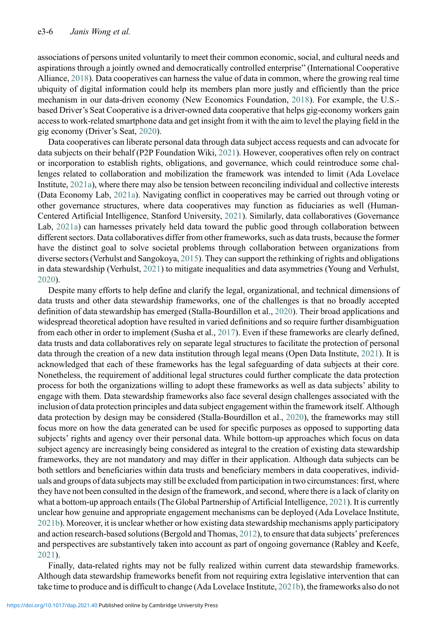associations of persons united voluntarily to meet their common economic, social, and cultural needs and aspirations through a jointly owned and democratically controlled enterprise" (International Cooperative Alliance, [2018](#page-28-13)). Data cooperatives can harness the value of data in common, where the growing real time ubiquity of digital information could help its members plan more justly and efficiently than the price mechanism in our data-driven economy (New Economics Foundation, [2018](#page-29-12)). For example, the U.S. based Driver's Seat Cooperative is a driver-owned data cooperative that helps gig-economy workers gain access to work-related smartphone data and get insight from it with the aim to level the playing field in the gig economy (Driver's Seat, [2020\)](#page-28-14).

Data cooperatives can liberate personal data through data subject access requests and can advocate for data subjects on their behalf (P2P Foundation Wiki, [2021\)](#page-29-11). However, cooperatives often rely on contract or incorporation to establish rights, obligations, and governance, which could reintroduce some challenges related to collaboration and mobilization the framework was intended to limit (Ada Lovelace Institute, [2021a\)](#page-26-2), where there may also be tension between reconciling individual and collective interests (Data Economy Lab, [2021a\)](#page-27-13). Navigating conflict in cooperatives may be carried out through voting or other governance structures, where data cooperatives may function as fiduciaries as well (Human-Centered Artificial Intelligence, Stanford University, [2021](#page-28-15)). Similarly, data collaboratives (Governance Lab, [2021a\)](#page-28-16) can harnesses privately held data toward the public good through collaboration between different sectors. Data collaboratives differ from other frameworks, such as data trusts, because the former have the distinct goal to solve societal problems through collaboration between organizations from diverse sectors (Verhulst and Sangokoya, [2015\)](#page-30-3). They can support the rethinking of rights and obligations in data stewardship (Verhulst, [2021\)](#page-30-5) to mitigate inequalities and data asymmetries (Young and Verhulst, [2020](#page-30-6)).

Despite many efforts to help define and clarify the legal, organizational, and technical dimensions of data trusts and other data stewardship frameworks, one of the challenges is that no broadly accepted definition of data stewardship has emerged (Stalla-Bourdillon et al., [2020](#page-29-13)). Their broad applications and widespread theoretical adoption have resulted in varied definitions and so require further disambiguation from each other in order to implement (Susha et al., [2017\)](#page-30-7). Even if these frameworks are clearly defined, data trusts and data collaboratives rely on separate legal structures to facilitate the protection of personal data through the creation of a new data institution through legal means (Open Data Institute, [2021\)](#page-29-14). It is acknowledged that each of these frameworks has the legal safeguarding of data subjects at their core. Nonetheless, the requirement of additional legal structures could further complicate the data protection process for both the organizations willing to adopt these frameworks as well as data subjects' ability to engage with them. Data stewardship frameworks also face several design challenges associated with the inclusion of data protection principles and data subject engagement within the framework itself. Although data protection by design may be considered (Stalla-Bourdillon et al., [2020\)](#page-29-13), the frameworks may still focus more on how the data generated can be used for specific purposes as opposed to supporting data subjects' rights and agency over their personal data. While bottom-up approaches which focus on data subject agency are increasingly being considered as integral to the creation of existing data stewardship frameworks, they are not mandatory and may differ in their application. Although data subjects can be both settlors and beneficiaries within data trusts and beneficiary members in data cooperatives, individuals and groups of data subjects may still be excluded from participation in two circumstances: first, where they have not been consulted in the design of the framework, and second, where there is a lack of clarity on what a bottom-up approach entails (The Global Partnership of Artificial Intelligence, [2021\)](#page-30-1). It is currently unclear how genuine and appropriate engagement mechanisms can be deployed (Ada Lovelace Institute, [2021b](#page-26-1)). Moreover, it is unclear whether or how existing data stewardship mechanisms apply participatory and action research-based solutions (Bergold and Thomas, [2012](#page-27-14)), to ensure that data subjects' preferences and perspectives are substantively taken into account as part of ongoing governance (Rabley and Keefe, [2021](#page-29-15)).

Finally, data-related rights may not be fully realized within current data stewardship frameworks. Although data stewardship frameworks benefit from not requiring extra legislative intervention that can take time to produce and is difficult to change (Ada Lovelace Institute, [2021b](#page-26-1)), the frameworks also do not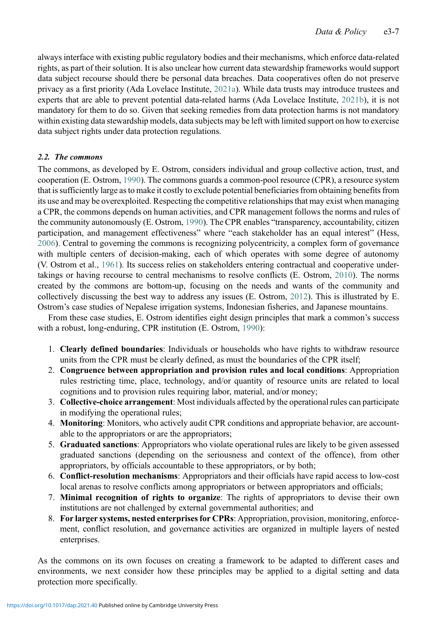always interface with existing public regulatory bodies and their mechanisms, which enforce data-related rights, as part of their solution. It is also unclear how current data stewardship frameworks would support data subject recourse should there be personal data breaches. Data cooperatives often do not preserve privacy as a first priority (Ada Lovelace Institute, [2021a\)](#page-26-2). While data trusts may introduce trustees and experts that are able to prevent potential data-related harms (Ada Lovelace Institute, [2021b\)](#page-26-1), it is not mandatory for them to do so. Given that seeking remedies from data protection harms is not mandatory within existing data stewardship models, data subjects may be left with limited support on how to exercise data subject rights under data protection regulations.

## 2.2. The commons

The commons, as developed by E. Ostrom, considers individual and group collective action, trust, and cooperation (E. Ostrom, [1990\)](#page-29-4). The commons guards a common-pool resource (CPR), a resource system that is sufficiently large as to make it costly to exclude potential beneficiaries from obtaining benefits from its use and may be overexploited. Respecting the competitive relationships that may exist when managing a CPR, the commons depends on human activities, and CPR management follows the norms and rules of the community autonomously (E. Ostrom, [1990](#page-29-4)). The CPR enables "transparency, accountability, citizen participation, and management effectiveness" where "each stakeholder has an equal interest" (Hess, [2006](#page-28-17)). Central to governing the commons is recognizing polycentricity, a complex form of governance with multiple centers of decision-making, each of which operates with some degree of autonomy (V. Ostrom et al., [1961](#page-29-16)). Its success relies on stakeholders entering contractual and cooperative undertakings or having recourse to central mechanisms to resolve conflicts (E. Ostrom, [2010\)](#page-29-17). The norms created by the commons are bottom-up, focusing on the needs and wants of the community and collectively discussing the best way to address any issues (E. Ostrom, [2012](#page-29-18)). This is illustrated by E. Ostrom's case studies of Nepalese irrigation systems, Indonesian fisheries, and Japanese mountains.

From these case studies, E. Ostrom identifies eight design principles that mark a common's success with a robust, long-enduring, CPR institution (E. Ostrom, [1990](#page-29-4)):

- 1. Clearly defined boundaries: Individuals or households who have rights to withdraw resource units from the CPR must be clearly defined, as must the boundaries of the CPR itself;
- 2. Congruence between appropriation and provision rules and local conditions: Appropriation rules restricting time, place, technology, and/or quantity of resource units are related to local cognitions and to provision rules requiring labor, material, and/or money;
- 3. Collective-choice arrangement: Most individuals affected by the operational rules can participate in modifying the operational rules;
- 4. Monitoring: Monitors, who actively audit CPR conditions and appropriate behavior, are accountable to the appropriators or are the appropriators;
- 5. Graduated sanctions: Appropriators who violate operational rules are likely to be given assessed graduated sanctions (depending on the seriousness and context of the offence), from other appropriators, by officials accountable to these appropriators, or by both;
- 6. Conflict-resolution mechanisms: Appropriators and their officials have rapid access to low-cost local arenas to resolve conflicts among appropriators or between appropriators and officials;
- 7. Minimal recognition of rights to organize: The rights of appropriators to devise their own institutions are not challenged by external governmental authorities; and
- 8. For larger systems, nested enterprises for CPRs: Appropriation, provision, monitoring, enforcement, conflict resolution, and governance activities are organized in multiple layers of nested enterprises.

As the commons on its own focuses on creating a framework to be adapted to different cases and environments, we next consider how these principles may be applied to a digital setting and data protection more specifically.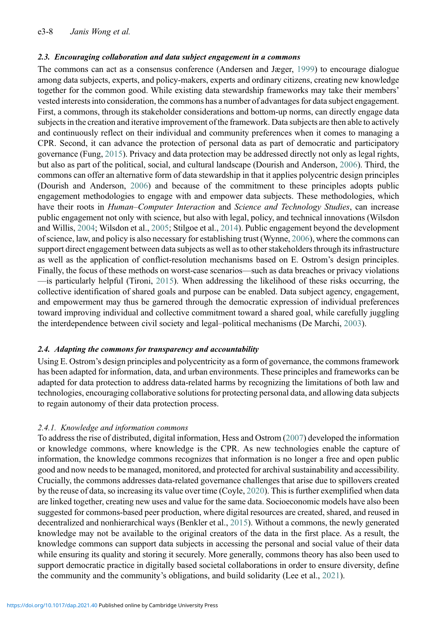### 2.3. Encouraging collaboration and data subject engagement in a commons

The commons can act as a consensus conference (Andersen and Jæger, [1999](#page-27-15)) to encourage dialogue among data subjects, experts, and policy-makers, experts and ordinary citizens, creating new knowledge together for the common good. While existing data stewardship frameworks may take their members' vested interests into consideration, the commons has a number of advantages for data subject engagement. First, a commons, through its stakeholder considerations and bottom-up norms, can directly engage data subjects in the creation and iterative improvement of the framework. Data subjects are then able to actively and continuously reflect on their individual and community preferences when it comes to managing a CPR. Second, it can advance the protection of personal data as part of democratic and participatory governance (Fung, [2015](#page-28-8)). Privacy and data protection may be addressed directly not only as legal rights, but also as part of the political, social, and cultural landscape (Dourish and Anderson, [2006\)](#page-28-18). Third, the commons can offer an alternative form of data stewardship in that it applies polycentric design principles (Dourish and Anderson, [2006](#page-28-18)) and because of the commitment to these principles adopts public engagement methodologies to engage with and empower data subjects. These methodologies, which have their roots in Human–Computer Interaction and Science and Technology Studies, can increase public engagement not only with science, but also with legal, policy, and technical innovations (Wilsdon and Willis, [2004](#page-30-8); Wilsdon et al., [2005;](#page-30-9) Stilgoe et al., [2014\)](#page-30-10). Public engagement beyond the development of science, law, and policy is also necessary for establishing trust (Wynne, [2006](#page-30-11)), where the commons can support direct engagement between data subjects as well as to other stakeholders through its infrastructure as well as the application of conflict-resolution mechanisms based on E. Ostrom's design principles. Finally, the focus of these methods on worst-case scenarios—such as data breaches or privacy violations —is particularly helpful (Tironi, [2015](#page-30-12)). When addressing the likelihood of these risks occurring, the collective identification of shared goals and purpose can be enabled. Data subject agency, engagement, and empowerment may thus be garnered through the democratic expression of individual preferences toward improving individual and collective commitment toward a shared goal, while carefully juggling the interdependence between civil society and legal–political mechanisms (De Marchi, [2003](#page-27-16)).

## 2.4. Adapting the commons for transparency and accountability

Using E. Ostrom's design principles and polycentricity as a form of governance, the commons framework has been adapted for information, data, and urban environments. These principles and frameworks can be adapted for data protection to address data-related harms by recognizing the limitations of both law and technologies, encouraging collaborative solutions for protecting personal data, and allowing data subjects to regain autonomy of their data protection process.

## 2.4.1. Knowledge and information commons

To address the rise of distributed, digital information, Hess and Ostrom ([2007\)](#page-28-19) developed the information or knowledge commons, where knowledge is the CPR. As new technologies enable the capture of information, the knowledge commons recognizes that information is no longer a free and open public good and now needs to be managed, monitored, and protected for archival sustainability and accessibility. Crucially, the commons addresses data-related governance challenges that arise due to spillovers created by the reuse of data, so increasing its value over time (Coyle, [2020](#page-27-17)). This is further exemplified when data are linked together, creating new uses and value for the same data. Socioeconomic models have also been suggested for commons-based peer production, where digital resources are created, shared, and reused in decentralized and nonhierarchical ways (Benkler et al., [2015\)](#page-27-18). Without a commons, the newly generated knowledge may not be available to the original creators of the data in the first place. As a result, the knowledge commons can support data subjects in accessing the personal and social value of their data while ensuring its quality and storing it securely. More generally, commons theory has also been used to support democratic practice in digitally based societal collaborations in order to ensure diversity, define the community and the community's obligations, and build solidarity (Lee et al., [2021\)](#page-28-20).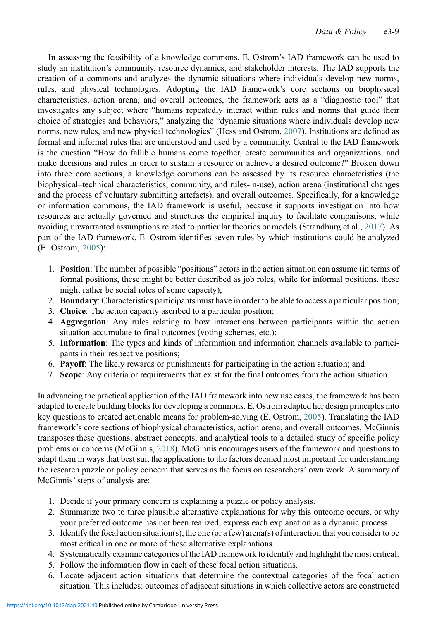In assessing the feasibility of a knowledge commons, E. Ostrom's IAD framework can be used to study an institution's community, resource dynamics, and stakeholder interests. The IAD supports the creation of a commons and analyzes the dynamic situations where individuals develop new norms, rules, and physical technologies. Adopting the IAD framework's core sections on biophysical characteristics, action arena, and overall outcomes, the framework acts as a "diagnostic tool" that investigates any subject where "humans repeatedly interact within rules and norms that guide their choice of strategies and behaviors," analyzing the "dynamic situations where individuals develop new norms, new rules, and new physical technologies" (Hess and Ostrom, [2007\)](#page-28-19). Institutions are defined as formal and informal rules that are understood and used by a community. Central to the IAD framework is the question "How do fallible humans come together, create communities and organizations, and make decisions and rules in order to sustain a resource or achieve a desired outcome?" Broken down into three core sections, a knowledge commons can be assessed by its resource characteristics (the biophysical–technical characteristics, community, and rules-in-use), action arena (institutional changes and the process of voluntary submitting artefacts), and overall outcomes. Specifically, for a knowledge or information commons, the IAD framework is useful, because it supports investigation into how resources are actually governed and structures the empirical inquiry to facilitate comparisons, while avoiding unwarranted assumptions related to particular theories or models (Strandburg et al., [2017](#page-30-13)). As part of the IAD framework, E. Ostrom identifies seven rules by which institutions could be analyzed (E. Ostrom, [2005](#page-29-19)):

- 1. Position: The number of possible "positions" actors in the action situation can assume (in terms of formal positions, these might be better described as job roles, while for informal positions, these might rather be social roles of some capacity);
- 2. Boundary: Characteristics participants must have in order to be able to access a particular position;
- 3. Choice: The action capacity ascribed to a particular position;
- 4. Aggregation: Any rules relating to how interactions between participants within the action situation accumulate to final outcomes (voting schemes, etc.);
- 5. Information: The types and kinds of information and information channels available to participants in their respective positions;
- 6. Payoff: The likely rewards or punishments for participating in the action situation; and
- 7. Scope: Any criteria or requirements that exist for the final outcomes from the action situation.

In advancing the practical application of the IAD framework into new use cases, the framework has been adapted to create building blocks for developing a commons. E. Ostrom adapted her design principles into key questions to created actionable means for problem-solving (E. Ostrom, [2005\)](#page-29-19). Translating the IAD framework's core sections of biophysical characteristics, action arena, and overall outcomes, McGinnis transposes these questions, abstract concepts, and analytical tools to a detailed study of specific policy problems or concerns (McGinnis, [2018](#page-29-20)). McGinnis encourages users of the framework and questions to adapt them in ways that best suit the applications to the factors deemed most important for understanding the research puzzle or policy concern that serves as the focus on researchers' own work. A summary of McGinnis' steps of analysis are:

- 1. Decide if your primary concern is explaining a puzzle or policy analysis.
- 2. Summarize two to three plausible alternative explanations for why this outcome occurs, or why your preferred outcome has not been realized; express each explanation as a dynamic process.
- 3. Identify the focal action situation(s), the one (or a few) arena(s) of interaction that you consider to be most critical in one or more of these alternative explanations.
- 4. Systematically examine categories of the IAD framework to identify and highlight the most critical.
- 5. Follow the information flow in each of these focal action situations.
- 6. Locate adjacent action situations that determine the contextual categories of the focal action situation. This includes: outcomes of adjacent situations in which collective actors are constructed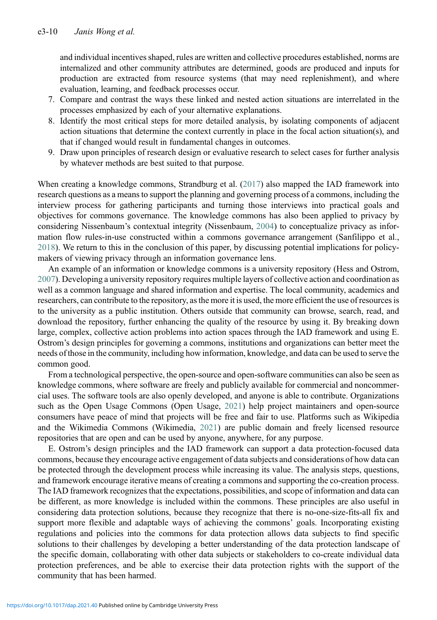and individual incentives shaped, rules are written and collective procedures established, norms are internalized and other community attributes are determined, goods are produced and inputs for production are extracted from resource systems (that may need replenishment), and where evaluation, learning, and feedback processes occur.

- 7. Compare and contrast the ways these linked and nested action situations are interrelated in the processes emphasized by each of your alternative explanations.
- 8. Identify the most critical steps for more detailed analysis, by isolating components of adjacent action situations that determine the context currently in place in the focal action situation(s), and that if changed would result in fundamental changes in outcomes.
- 9. Draw upon principles of research design or evaluative research to select cases for further analysis by whatever methods are best suited to that purpose.

When creating a knowledge commons, Strandburg et al. [\(2017](#page-30-13)) also mapped the IAD framework into research questions as a means to support the planning and governing process of a commons, including the interview process for gathering participants and turning those interviews into practical goals and objectives for commons governance. The knowledge commons has also been applied to privacy by considering Nissenbaum's contextual integrity (Nissenbaum, [2004](#page-29-21)) to conceptualize privacy as information flow rules-in-use constructed within a commons governance arrangement (Sanfilippo et al., [2018](#page-29-22)). We return to this in the conclusion of this paper, by discussing potential implications for policymakers of viewing privacy through an information governance lens.

An example of an information or knowledge commons is a university repository (Hess and Ostrom, [2007](#page-28-19)). Developing a university repository requires multiple layers of collective action and coordination as well as a common language and shared information and expertise. The local community, academics and researchers, can contribute to the repository, as the more it is used, the more efficient the use of resources is to the university as a public institution. Others outside that community can browse, search, read, and download the repository, further enhancing the quality of the resource by using it. By breaking down large, complex, collective action problems into action spaces through the IAD framework and using E. Ostrom's design principles for governing a commons, institutions and organizations can better meet the needs of those in the community, including how information, knowledge, and data can be used to serve the common good.

From a technological perspective, the open-source and open-software communities can also be seen as knowledge commons, where software are freely and publicly available for commercial and noncommercial uses. The software tools are also openly developed, and anyone is able to contribute. Organizations such as the Open Usage Commons (Open Usage, [2021\)](#page-29-23) help project maintainers and open-source consumers have peace of mind that projects will be free and fair to use. Platforms such as Wikipedia and the Wikimedia Commons (Wikimedia, [2021\)](#page-30-14) are public domain and freely licensed resource repositories that are open and can be used by anyone, anywhere, for any purpose.

E. Ostrom's design principles and the IAD framework can support a data protection-focused data commons, because they encourage active engagement of data subjects and considerations of how data can be protected through the development process while increasing its value. The analysis steps, questions, and framework encourage iterative means of creating a commons and supporting the co-creation process. The IAD framework recognizes that the expectations, possibilities, and scope of information and data can be different, as more knowledge is included within the commons. These principles are also useful in considering data protection solutions, because they recognize that there is no-one-size-fits-all fix and support more flexible and adaptable ways of achieving the commons' goals. Incorporating existing regulations and policies into the commons for data protection allows data subjects to find specific solutions to their challenges by developing a better understanding of the data protection landscape of the specific domain, collaborating with other data subjects or stakeholders to co-create individual data protection preferences, and be able to exercise their data protection rights with the support of the community that has been harmed.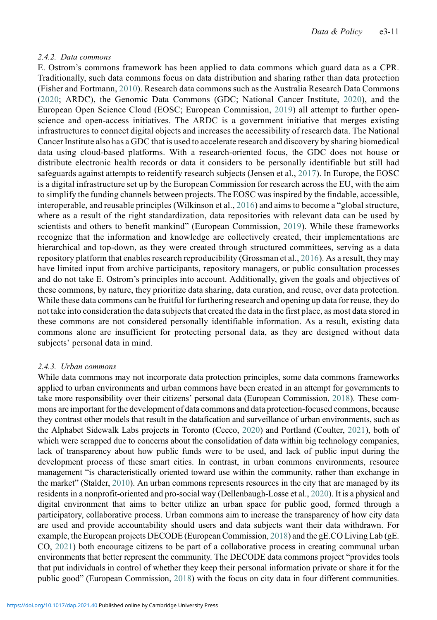#### 2.4.2. Data commons

E. Ostrom's commons framework has been applied to data commons which guard data as a CPR. Traditionally, such data commons focus on data distribution and sharing rather than data protection (Fisher and Fortmann, [2010](#page-28-21)). Research data commons such as the Australia Research Data Commons ([2020](#page-27-19); ARDC), the Genomic Data Commons (GDC; National Cancer Institute, [2020](#page-29-24)), and the European Open Science Cloud (EOSC; European Commission, [2019](#page-28-22)) all attempt to further openscience and open-access initiatives. The ARDC is a government initiative that merges existing infrastructures to connect digital objects and increases the accessibility of research data. The National Cancer Institute also has a GDC that is used to accelerate research and discovery by sharing biomedical data using cloud-based platforms. With a research-oriented focus, the GDC does not house or distribute electronic health records or data it considers to be personally identifiable but still had safeguards against attempts to reidentify research subjects (Jensen et al., [2017](#page-28-23)). In Europe, the EOSC is a digital infrastructure set up by the European Commission for research across the EU, with the aim to simplify the funding channels between projects. The EOSC was inspired by the findable, accessible, interoperable, and reusable principles (Wilkinson et al., [2016\)](#page-30-15) and aims to become a "global structure, where as a result of the right standardization, data repositories with relevant data can be used by scientists and others to benefit mankind" (European Commission, [2019](#page-28-22)). While these frameworks recognize that the information and knowledge are collectively created, their implementations are hierarchical and top-down, as they were created through structured committees, serving as a data repository platform that enables research reproducibility (Grossman et al., [2016](#page-28-24)). As a result, they may have limited input from archive participants, repository managers, or public consultation processes and do not take E. Ostrom's principles into account. Additionally, given the goals and objectives of these commons, by nature, they prioritize data sharing, data curation, and reuse, over data protection. While these data commons can be fruitful for furthering research and opening up data for reuse, they do not take into consideration the data subjects that created the data in the first place, as most data stored in these commons are not considered personally identifiable information. As a result, existing data commons alone are insufficient for protecting personal data, as they are designed without data subjects' personal data in mind.

## 2.4.3. Urban commons

While data commons may not incorporate data protection principles, some data commons frameworks applied to urban environments and urban commons have been created in an attempt for governments to take more responsibility over their citizens' personal data (European Commission, [2018](#page-28-25)). These commons are important for the development of data commons and data protection-focused commons, because they contrast other models that result in the datafication and surveillance of urban environments, such as the Alphabet Sidewalk Labs projects in Toronto (Cecco, [2020](#page-27-20)) and Portland (Coulter, [2021\)](#page-27-21), both of which were scrapped due to concerns about the consolidation of data within big technology companies, lack of transparency about how public funds were to be used, and lack of public input during the development process of these smart cities. In contrast, in urban commons environments, resource management "is characteristically oriented toward use within the community, rather than exchange in the market" (Stalder, [2010\)](#page-29-25). An urban commons represents resources in the city that are managed by its residents in a nonprofit-oriented and pro-social way (Dellenbaugh-Losse et al., [2020\)](#page-28-26). It is a physical and digital environment that aims to better utilize an urban space for public good, formed through a participatory, collaborative process. Urban commons aim to increase the transparency of how city data are used and provide accountability should users and data subjects want their data withdrawn. For example, the European projects DECODE (European Commission, [2018](#page-28-25)) and the gE.CO Living Lab (gE. CO, [2021](#page-28-27)) both encourage citizens to be part of a collaborative process in creating communal urban environments that better represent the community. The DECODE data commons project "provides tools that put individuals in control of whether they keep their personal information private or share it for the public good" (European Commission, [2018](#page-28-25)) with the focus on city data in four different communities.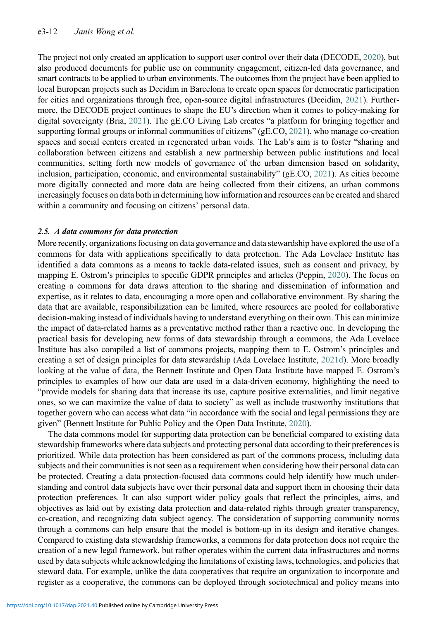The project not only created an application to support user control over their data (DECODE, [2020](#page-27-22)), but also produced documents for public use on community engagement, citizen-led data governance, and smart contracts to be applied to urban environments. The outcomes from the project have been applied to local European projects such as Decidim in Barcelona to create open spaces for democratic participation for cities and organizations through free, open-source digital infrastructures (Decidim, [2021\)](#page-27-23). Furthermore, the DECODE project continues to shape the EU's direction when it comes to policy-making for digital sovereignty (Bria, [2021](#page-27-24)). The gE.CO Living Lab creates "a platform for bringing together and supporting formal groups or informal communities of citizens" (gE.CO, [2021](#page-28-27)), who manage co-creation spaces and social centers created in regenerated urban voids. The Lab's aim is to foster "sharing and collaboration between citizens and establish a new partnership between public institutions and local communities, setting forth new models of governance of the urban dimension based on solidarity, inclusion, participation, economic, and environmental sustainability" (gE.CO, [2021](#page-28-27)). As cities become more digitally connected and more data are being collected from their citizens, an urban commons increasingly focuses on data both in determining how information and resources can be created and shared within a community and focusing on citizens' personal data.

## 2.5. A data commons for data protection

More recently, organizations focusing on data governance and data stewardship have explored the use of a commons for data with applications specifically to data protection. The Ada Lovelace Institute has identified a data commons as a means to tackle data-related issues, such as consent and privacy, by mapping E. Ostrom's principles to specific GDPR principles and articles (Peppin, [2020](#page-29-26)). The focus on creating a commons for data draws attention to the sharing and dissemination of information and expertise, as it relates to data, encouraging a more open and collaborative environment. By sharing the data that are available, responsibilization can be limited, where resources are pooled for collaborative decision-making instead of individuals having to understand everything on their own. This can minimize the impact of data-related harms as a preventative method rather than a reactive one. In developing the practical basis for developing new forms of data stewardship through a commons, the Ada Lovelace Institute has also compiled a list of commons projects, mapping them to E. Ostrom's principles and creating a set of design principles for data stewardship (Ada Lovelace Institute, [2021d\)](#page-26-3). More broadly looking at the value of data, the Bennett Institute and Open Data Institute have mapped E. Ostrom's principles to examples of how our data are used in a data-driven economy, highlighting the need to "provide models for sharing data that increase its use, capture positive externalities, and limit negative ones, so we can maximize the value of data to society" as well as include trustworthy institutions that together govern who can access what data "in accordance with the social and legal permissions they are given" (Bennett Institute for Public Policy and the Open Data Institute, [2020](#page-27-25)).

The data commons model for supporting data protection can be beneficial compared to existing data stewardship frameworks where data subjects and protecting personal data according to their preferences is prioritized. While data protection has been considered as part of the commons process, including data subjects and their communities is not seen as a requirement when considering how their personal data can be protected. Creating a data protection-focused data commons could help identify how much understanding and control data subjects have over their personal data and support them in choosing their data protection preferences. It can also support wider policy goals that reflect the principles, aims, and objectives as laid out by existing data protection and data-related rights through greater transparency, co-creation, and recognizing data subject agency. The consideration of supporting community norms through a commons can help ensure that the model is bottom-up in its design and iterative changes. Compared to existing data stewardship frameworks, a commons for data protection does not require the creation of a new legal framework, but rather operates within the current data infrastructures and norms used by data subjects while acknowledging the limitations of existing laws, technologies, and policies that steward data. For example, unlike the data cooperatives that require an organization to incorporate and register as a cooperative, the commons can be deployed through sociotechnical and policy means into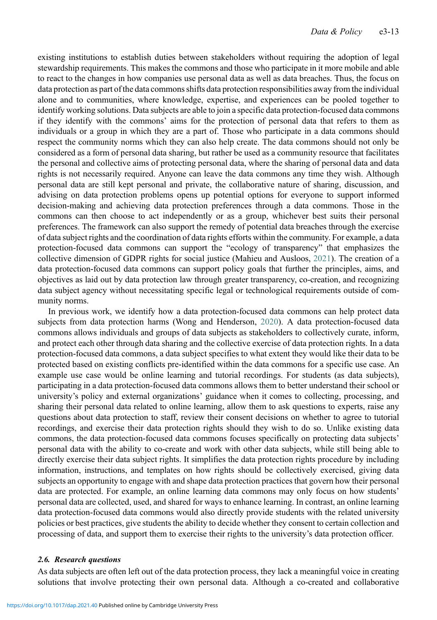existing institutions to establish duties between stakeholders without requiring the adoption of legal stewardship requirements. This makes the commons and those who participate in it more mobile and able to react to the changes in how companies use personal data as well as data breaches. Thus, the focus on data protection as part of the data commons shifts data protection responsibilities away from the individual alone and to communities, where knowledge, expertise, and experiences can be pooled together to identify working solutions. Data subjects are able to join a specific data protection-focused data commons if they identify with the commons' aims for the protection of personal data that refers to them as individuals or a group in which they are a part of. Those who participate in a data commons should respect the community norms which they can also help create. The data commons should not only be considered as a form of personal data sharing, but rather be used as a community resource that facilitates the personal and collective aims of protecting personal data, where the sharing of personal data and data rights is not necessarily required. Anyone can leave the data commons any time they wish. Although personal data are still kept personal and private, the collaborative nature of sharing, discussion, and advising on data protection problems opens up potential options for everyone to support informed decision-making and achieving data protection preferences through a data commons. Those in the commons can then choose to act independently or as a group, whichever best suits their personal preferences. The framework can also support the remedy of potential data breaches through the exercise of data subject rights and the coordination of data rights efforts within the community. For example, a data protection-focused data commons can support the "ecology of transparency" that emphasizes the collective dimension of GDPR rights for social justice (Mahieu and Ausloos, [2021\)](#page-29-27). The creation of a data protection-focused data commons can support policy goals that further the principles, aims, and objectives as laid out by data protection law through greater transparency, co-creation, and recognizing data subject agency without necessitating specific legal or technological requirements outside of community norms.

In previous work, we identify how a data protection-focused data commons can help protect data subjects from data protection harms (Wong and Henderson, [2020](#page-30-16)). A data protection-focused data commons allows individuals and groups of data subjects as stakeholders to collectively curate, inform, and protect each other through data sharing and the collective exercise of data protection rights. In a data protection-focused data commons, a data subject specifies to what extent they would like their data to be protected based on existing conflicts pre-identified within the data commons for a specific use case. An example use case would be online learning and tutorial recordings. For students (as data subjects), participating in a data protection-focused data commons allows them to better understand their school or university's policy and external organizations' guidance when it comes to collecting, processing, and sharing their personal data related to online learning, allow them to ask questions to experts, raise any questions about data protection to staff, review their consent decisions on whether to agree to tutorial recordings, and exercise their data protection rights should they wish to do so. Unlike existing data commons, the data protection-focused data commons focuses specifically on protecting data subjects' personal data with the ability to co-create and work with other data subjects, while still being able to directly exercise their data subject rights. It simplifies the data protection rights procedure by including information, instructions, and templates on how rights should be collectively exercised, giving data subjects an opportunity to engage with and shape data protection practices that govern how their personal data are protected. For example, an online learning data commons may only focus on how students' personal data are collected, used, and shared for ways to enhance learning. In contrast, an online learning data protection-focused data commons would also directly provide students with the related university policies or best practices, give students the ability to decide whether they consent to certain collection and processing of data, and support them to exercise their rights to the university's data protection officer.

#### 2.6. Research questions

As data subjects are often left out of the data protection process, they lack a meaningful voice in creating solutions that involve protecting their own personal data. Although a co-created and collaborative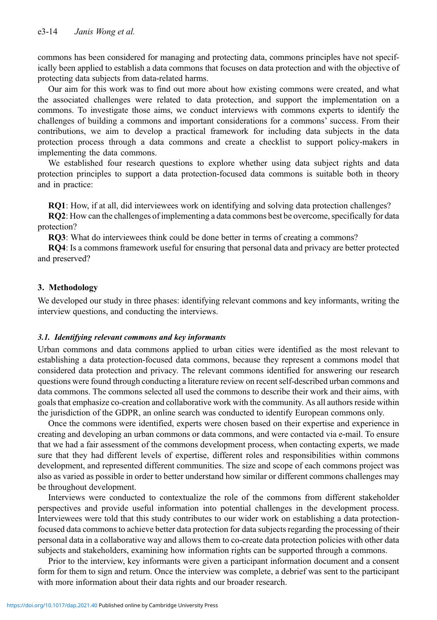commons has been considered for managing and protecting data, commons principles have not specifically been applied to establish a data commons that focuses on data protection and with the objective of protecting data subjects from data-related harms.

Our aim for this work was to find out more about how existing commons were created, and what the associated challenges were related to data protection, and support the implementation on a commons. To investigate those aims, we conduct interviews with commons experts to identify the challenges of building a commons and important considerations for a commons' success. From their contributions, we aim to develop a practical framework for including data subjects in the data protection process through a data commons and create a checklist to support policy-makers in implementing the data commons.

We established four research questions to explore whether using data subject rights and data protection principles to support a data protection-focused data commons is suitable both in theory and in practice:

RQ1: How, if at all, did interviewees work on identifying and solving data protection challenges?

RQ2: How can the challenges of implementing a data commons best be overcome, specifically for data protection?

RQ3: What do interviewees think could be done better in terms of creating a commons?

RQ4: Is a commons framework useful for ensuring that personal data and privacy are better protected and preserved?

## 3. Methodology

We developed our study in three phases: identifying relevant commons and key informants, writing the interview questions, and conducting the interviews.

## 3.1. Identifying relevant commons and key informants

Urban commons and data commons applied to urban cities were identified as the most relevant to establishing a data protection-focused data commons, because they represent a commons model that considered data protection and privacy. The relevant commons identified for answering our research questions were found through conducting a literature review on recent self-described urban commons and data commons. The commons selected all used the commons to describe their work and their aims, with goals that emphasize co-creation and collaborative work with the community. As all authors reside within the jurisdiction of the GDPR, an online search was conducted to identify European commons only.

Once the commons were identified, experts were chosen based on their expertise and experience in creating and developing an urban commons or data commons, and were contacted via e-mail. To ensure that we had a fair assessment of the commons development process, when contacting experts, we made sure that they had different levels of expertise, different roles and responsibilities within commons development, and represented different communities. The size and scope of each commons project was also as varied as possible in order to better understand how similar or different commons challenges may be throughout development.

Interviews were conducted to contextualize the role of the commons from different stakeholder perspectives and provide useful information into potential challenges in the development process. Interviewees were told that this study contributes to our wider work on establishing a data protectionfocused data commons to achieve better data protection for data subjects regarding the processing of their personal data in a collaborative way and allows them to co-create data protection policies with other data subjects and stakeholders, examining how information rights can be supported through a commons.

Prior to the interview, key informants were given a participant information document and a consent form for them to sign and return. Once the interview was complete, a debrief was sent to the participant with more information about their data rights and our broader research.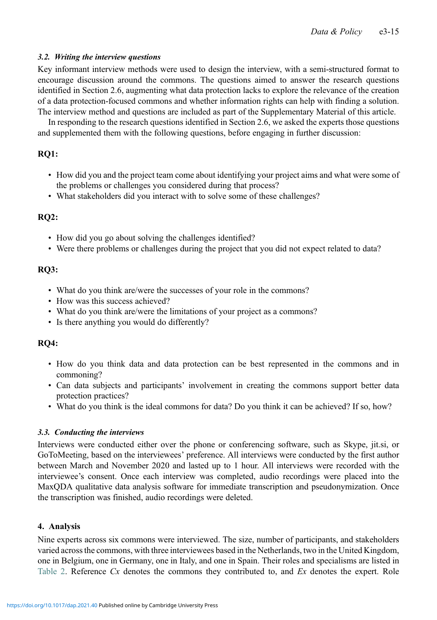## 3.2. Writing the interview questions

Key informant interview methods were used to design the interview, with a semi-structured format to encourage discussion around the commons. The questions aimed to answer the research questions identified in Section 2.6, augmenting what data protection lacks to explore the relevance of the creation of a data protection-focused commons and whether information rights can help with finding a solution. The interview method and questions are included as part of the Supplementary Material of this article.

In responding to the research questions identified in Section 2.6, we asked the experts those questions and supplemented them with the following questions, before engaging in further discussion:

# RQ1:

- How did you and the project team come about identifying your project aims and what were some of the problems or challenges you considered during that process?
- What stakeholders did you interact with to solve some of these challenges?

# RQ2:

- How did you go about solving the challenges identified?
- Were there problems or challenges during the project that you did not expect related to data?

## RQ3:

- What do you think are/were the successes of your role in the commons?
- How was this success achieved?
- What do you think are/were the limitations of your project as a commons?
- Is there anything you would do differently?

# RQ4:

- How do you think data and data protection can be best represented in the commons and in commoning?
- Can data subjects and participants' involvement in creating the commons support better data protection practices?
- What do you think is the ideal commons for data? Do you think it can be achieved? If so, how?

## 3.3. Conducting the interviews

Interviews were conducted either over the phone or conferencing software, such as Skype, jit.si, or GoToMeeting, based on the interviewees' preference. All interviews were conducted by the first author between March and November 2020 and lasted up to 1 hour. All interviews were recorded with the interviewee's consent. Once each interview was completed, audio recordings were placed into the MaxQDA qualitative data analysis software for immediate transcription and pseudonymization. Once the transcription was finished, audio recordings were deleted.

## 4. Analysis

Nine experts across six commons were interviewed. The size, number of participants, and stakeholders varied across the commons, with three interviewees based in the Netherlands, two in the United Kingdom, one in Belgium, one in Germany, one in Italy, and one in Spain. Their roles and specialisms are listed in [Table 2](#page-15-0). Reference  $Cx$  denotes the commons they contributed to, and  $Ex$  denotes the expert. Role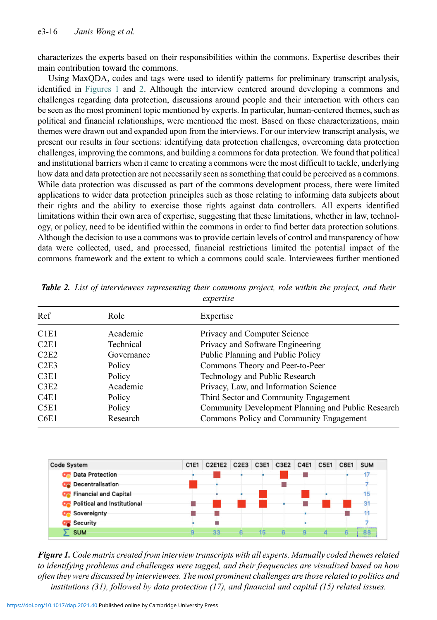characterizes the experts based on their responsibilities within the commons. Expertise describes their main contribution toward the commons.

Using MaxQDA, codes and tags were used to identify patterns for preliminary transcript analysis, identified in [Figures 1](#page-15-1) and [2](#page-16-0). Although the interview centered around developing a commons and challenges regarding data protection, discussions around people and their interaction with others can be seen as the most prominent topic mentioned by experts. In particular, human-centered themes, such as political and financial relationships, were mentioned the most. Based on these characterizations, main themes were drawn out and expanded upon from the interviews. For our interview transcript analysis, we present our results in four sections: identifying data protection challenges, overcoming data protection challenges, improving the commons, and building a commons for data protection. We found that political and institutional barriers when it came to creating a commons were the most difficult to tackle, underlying how data and data protection are not necessarily seen as something that could be perceived as a commons. While data protection was discussed as part of the commons development process, there were limited applications to wider data protection principles such as those relating to informing data subjects about their rights and the ability to exercise those rights against data controllers. All experts identified limitations within their own area of expertise, suggesting that these limitations, whether in law, technology, or policy, need to be identified within the commons in order to find better data protection solutions. Although the decision to use a commons was to provide certain levels of control and transparency of how data were collected, used, and processed, financial restrictions limited the potential impact of the commons framework and the extent to which a commons could scale. Interviewees further mentioned

| Ref<br>Role                   |            | Expertise                                          |  |  |  |  |
|-------------------------------|------------|----------------------------------------------------|--|--|--|--|
| C <sub>1</sub> E <sub>1</sub> | Academic   | Privacy and Computer Science                       |  |  |  |  |
| C2E1                          | Technical  | Privacy and Software Engineering                   |  |  |  |  |
| C2E2                          | Governance | Public Planning and Public Policy                  |  |  |  |  |
| C2E3                          | Policy     | Commons Theory and Peer-to-Peer                    |  |  |  |  |
| C3E1                          | Policy     | Technology and Public Research                     |  |  |  |  |
| C3E2                          | Academic   | Privacy, Law, and Information Science              |  |  |  |  |
| C <sub>4</sub> E <sub>1</sub> | Policy     | Third Sector and Community Engagement              |  |  |  |  |
| C5E1                          | Policy     | Community Development Planning and Public Research |  |  |  |  |
| C6E1                          | Research   | Commons Policy and Community Engagement            |  |  |  |  |

<span id="page-15-0"></span>**Table 2.** List of interviewees representing their commons project, role within the project, and their expertise

<span id="page-15-1"></span>

| <b>Code System</b>                    | C1E1 | C2E1E2 C2E3 C3E1 C3E2 C4E1 |  |  | <b>C5E1</b> | C6E1 | <b>SUM</b> |
|---------------------------------------|------|----------------------------|--|--|-------------|------|------------|
| <b>OF</b> Data Protection             |      |                            |  |  |             |      |            |
| <b>OF</b> Decentralisation            |      |                            |  |  |             |      |            |
| <b>Co</b> Financial and Capital       |      |                            |  |  |             |      |            |
| <b>OF</b> Political and Institutional |      |                            |  |  |             |      |            |
| <b>Configurer</b> Sovereignty         |      |                            |  |  |             |      |            |
| <b>Co</b> Security                    |      |                            |  |  |             |      |            |
| SUM                                   | o.   | 33                         |  |  |             | A.   | <b>RR</b>  |

Figure 1. Code matrix created from interview transcripts with all experts. Manually coded themes related to identifying problems and challenges were tagged, and their frequencies are visualized based on how often they were discussed by interviewees. The most prominent challenges are those related to politics and institutions (31), followed by data protection (17), and financial and capital (15) related issues.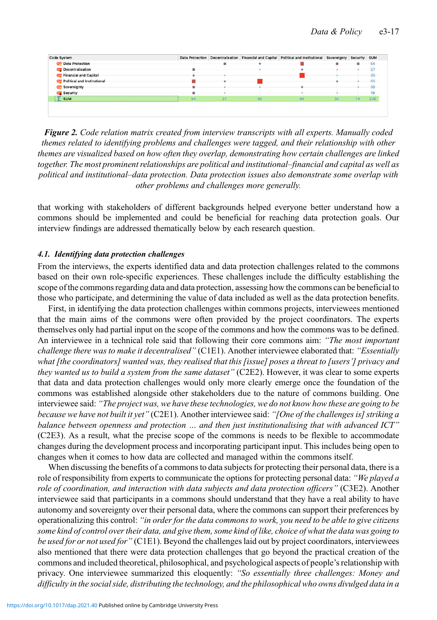<span id="page-16-0"></span>

| Code System                          |    |    |    | Data Protection Decentralisation Financial and Capital Political and Institutional Sovereignty Security SUM |    |     |        |
|--------------------------------------|----|----|----|-------------------------------------------------------------------------------------------------------------|----|-----|--------|
| <b>OF</b> Data Protection            |    |    |    |                                                                                                             |    |     | 54     |
| <b>Co</b> Decentralisation           |    |    |    |                                                                                                             |    |     |        |
| <b>OF</b> Financial and Capital      |    |    |    |                                                                                                             |    |     | $35 -$ |
| <b>C</b> Political and Institutional |    |    |    |                                                                                                             |    |     | 55     |
| <b>C</b> Sovereignty                 |    |    |    |                                                                                                             |    |     | 30     |
| <b>Co</b> Security                   |    |    |    |                                                                                                             |    |     | $19 -$ |
| $\Sigma$ sum                         | 54 | 27 | 35 | 55                                                                                                          | 30 | 19. | 220    |

Figure 2. Code relation matrix created from interview transcripts with all experts. Manually coded themes related to identifying problems and challenges were tagged, and their relationship with other themes are visualized based on how often they overlap, demonstrating how certain challenges are linked together. The most prominent relationships are political and institutional–financial and capital as well as political and institutional–data protection. Data protection issues also demonstrate some overlap with other problems and challenges more generally.

that working with stakeholders of different backgrounds helped everyone better understand how a commons should be implemented and could be beneficial for reaching data protection goals. Our interview findings are addressed thematically below by each research question.

#### 4.1. Identifying data protection challenges

From the interviews, the experts identified data and data protection challenges related to the commons based on their own role-specific experiences. These challenges include the difficulty establishing the scope of the commons regarding data and data protection, assessing how the commons can be beneficial to those who participate, and determining the value of data included as well as the data protection benefits.

First, in identifying the data protection challenges within commons projects, interviewees mentioned that the main aims of the commons were often provided by the project coordinators. The experts themselves only had partial input on the scope of the commons and how the commons was to be defined. An interviewee in a technical role said that following their core commons aim: "The most important challenge there was to make it decentralised" (C1E1). Another interviewee elaborated that: "Essentially what [the coordinators] wanted was, they realised that this [issue] poses a threat to [users'] privacy and they wanted us to build a system from the same dataset" (C2E2). However, it was clear to some experts that data and data protection challenges would only more clearly emerge once the foundation of the commons was established alongside other stakeholders due to the nature of commons building. One interviewee said: "The project was, we have these technologies, we do not know how these are going to be because we have not built it yet" (C2E1). Another interviewee said: "[One of the challenges is] striking a balance between openness and protection … and then just institutionalising that with advanced ICT" (C2E3). As a result, what the precise scope of the commons is needs to be flexible to accommodate changes during the development process and incorporating participant input. This includes being open to changes when it comes to how data are collected and managed within the commons itself.

When discussing the benefits of a commons to data subjects for protecting their personal data, there is a role of responsibility from experts to communicate the options for protecting personal data: "We played a role of coordination, and interaction with data subjects and data protection officers" (C3E2). Another interviewee said that participants in a commons should understand that they have a real ability to have autonomy and sovereignty over their personal data, where the commons can support their preferences by operationalizing this control: "in order for the data commons to work, you need to be able to give citizens some kind of control over their data, and give them, some kind of like, choice of what the data was going to be used for or not used for " (C1E1). Beyond the challenges laid out by project coordinators, interviewees also mentioned that there were data protection challenges that go beyond the practical creation of the commons and included theoretical, philosophical, and psychological aspects of people's relationship with privacy. One interviewee summarized this eloquently: "So essentially three challenges: Money and difficulty in the social side, distributing the technology, and the philosophical who owns divulged data in a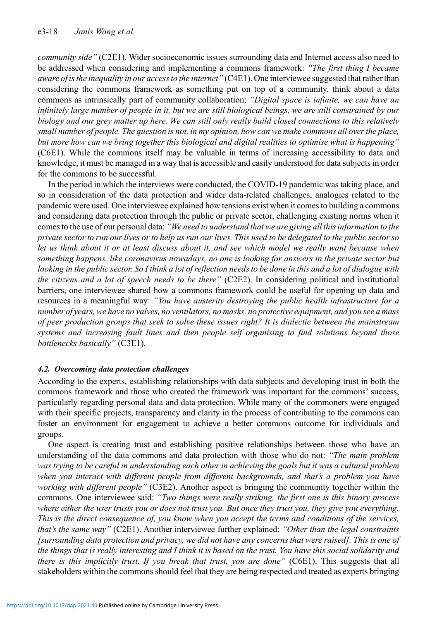community side" (C2E1). Wider socioeconomic issues surrounding data and Internet access also need to be addressed when considering and implementing a commons framework: "The first thing I became aware of is the inequality in our access to the internet" (C4E1). One interviewee suggested that rather than considering the commons framework as something put on top of a community, think about a data commons as intrinsically part of community collaboration: "Digital space is infinite, we can have an infinitely large number of people in it, but we are still biological beings, we are still constrained by our biology and our grey matter up here. We can still only really build closed connections to this relatively small number of people. The question is not, in my opinion, how can we make commons all over the place, but more how can we bring together this biological and digital realities to optimise what is happening" (C6E1). While the commons itself may be valuable in terms of increasing accessibility to data and knowledge, it must be managed in a way that is accessible and easily understood for data subjects in order for the commons to be successful.

In the period in which the interviews were conducted, the COVID-19 pandemic was taking place, and so in consideration of the data protection and wider data-related challenges, analogies related to the pandemic were used. One interviewee explained how tensions exist when it comes to building a commons and considering data protection through the public or private sector, challenging existing norms when it comes to the use of our personal data: "We need to understand that we are giving all this information to the private sector to run our lives or to help us run our lives. This used to be delegated to the public sector so let us think about it or at least discuss about it, and see which model we really want because when something happens, like coronavirus nowadays, no one is looking for answers in the private sector but looking in the public sector. So I think a lot of reflection needs to be done in this and a lot of dialogue with the citizens and a lot of speech needs to be there"  $(C2E2)$ . In considering political and institutional barriers, one interviewee shared how a commons framework could be useful for opening up data and resources in a meaningful way: "You have austerity destroying the public health infrastructure for a number of years, we have no valves, no ventilators, no masks, no protective equipment, and you see a mass of peer production groups that seek to solve these issues right? It is dialectic between the mainstream systems and increasing fault lines and then people self organising to find solutions beyond those bottlenecks basically" (C3E1).

## 4.2. Overcoming data protection challenges

According to the experts, establishing relationships with data subjects and developing trust in both the commons framework and those who created the framework was important for the commons' success, particularly regarding personal data and data protection. While many of the commoners were engaged with their specific projects, transparency and clarity in the process of contributing to the commons can foster an environment for engagement to achieve a better commons outcome for individuals and groups.

One aspect is creating trust and establishing positive relationships between those who have an understanding of the data commons and data protection with those who do not: "The main problem was trying to be careful in understanding each other in achieving the goals but it was a cultural problem when you interact with different people from different backgrounds, and that's a problem you have working with different people" (C3E2). Another aspect is bringing the community together within the commons. One interviewee said: "Two things were really striking, the first one is this binary process where either the user trusts you or does not trust you. But once they trust you, they give you everything. This is the direct consequence of, you know when you accept the terms and conditions of the services, that's the same way" (C2E1). Another interviewee further explained: "Other than the legal constraints [surrounding data protection and privacy, we did not have any concerns that were raised]. This is one of the things that is really interesting and I think it is based on the trust. You have this social solidarity and there is this implicitly trust. If you break that trust, you are done" (C6E1). This suggests that all stakeholders within the commons should feel that they are being respected and treated as experts bringing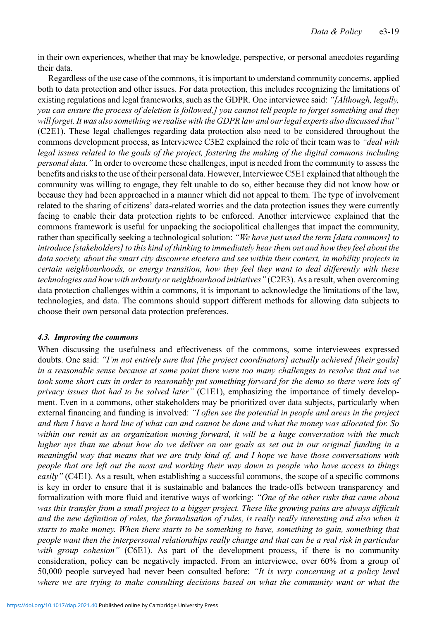in their own experiences, whether that may be knowledge, perspective, or personal anecdotes regarding their data.

Regardless of the use case of the commons, it is important to understand community concerns, applied both to data protection and other issues. For data protection, this includes recognizing the limitations of existing regulations and legal frameworks, such as the GDPR. One interviewee said: "[Although, legally, you can ensure the process of deletion is followed,] you cannot tell people to forget something and they will forget. It was also something we realise with the GDPR law and our legal experts also discussed that" (C2E1). These legal challenges regarding data protection also need to be considered throughout the commons development process, as Interviewee C3E2 explained the role of their team was to "*deal with* legal issues related to the goals of the project, fostering the making of the digital commons including personal data." In order to overcome these challenges, input is needed from the community to assess the benefits and risks to the use of their personal data. However, Interviewee C5E1 explained that although the community was willing to engage, they felt unable to do so, either because they did not know how or because they had been approached in a manner which did not appeal to them. The type of involvement related to the sharing of citizens' data-related worries and the data protection issues they were currently facing to enable their data protection rights to be enforced. Another interviewee explained that the commons framework is useful for unpacking the sociopolitical challenges that impact the community, rather than specifically seeking a technological solution: "We have just used the term [data commons] to introduce [stakeholders] to this kind of thinking to immediately hear them out and how they feel about the data society, about the smart city discourse etcetera and see within their context, in mobility projects in certain neighbourhoods, or energy transition, how they feel they want to deal differently with these technologies and how with urbanity or neighbourhood initiatives" (C2E3). As a result, when overcoming data protection challenges within a commons, it is important to acknowledge the limitations of the law, technologies, and data. The commons should support different methods for allowing data subjects to choose their own personal data protection preferences.

## 4.3. Improving the commons

When discussing the usefulness and effectiveness of the commons, some interviewees expressed doubts. One said: "I'm not entirely sure that [the project coordinators] actually achieved [their goals] in a reasonable sense because at some point there were too many challenges to resolve that and we took some short cuts in order to reasonably put something forward for the demo so there were lots of privacy issues that had to be solved later" (C1E1), emphasizing the importance of timely development. Even in a commons, other stakeholders may be prioritized over data subjects, particularly when external financing and funding is involved: "I often see the potential in people and areas in the project and then I have a hard line of what can and cannot be done and what the money was allocated for. So within our remit as an organization moving forward, it will be a huge conversation with the much higher ups than me about how do we deliver on our goals as set out in our original funding in a meaningful way that means that we are truly kind of, and I hope we have those conversations with people that are left out the most and working their way down to people who have access to things easily" (C4E1). As a result, when establishing a successful commons, the scope of a specific commons is key in order to ensure that it is sustainable and balances the trade-offs between transparency and formalization with more fluid and iterative ways of working: "One of the other risks that came about was this transfer from a small project to a bigger project. These like growing pains are always difficult and the new definition of roles, the formalisation of rules, is really really interesting and also when it starts to make money. When there starts to be something to have, something to gain, something that people want then the interpersonal relationships really change and that can be a real risk in particular with group cohesion" (C6E1). As part of the development process, if there is no community consideration, policy can be negatively impacted. From an interviewee, over 60% from a group of 50,000 people surveyed had never been consulted before: "It is very concerning at a policy level where we are trying to make consulting decisions based on what the community want or what the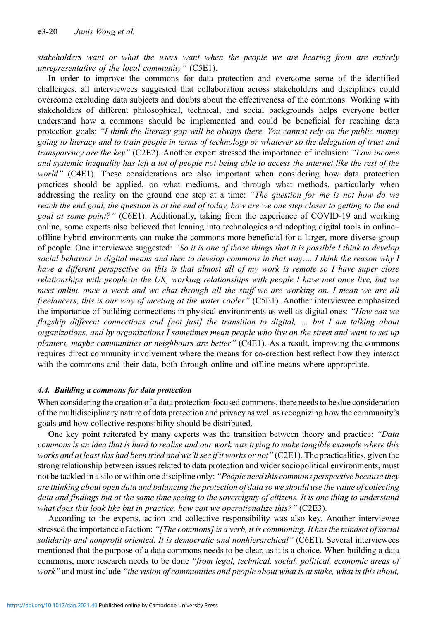stakeholders want or what the users want when the people we are hearing from are entirely unrepresentative of the local community" (C5E1).

In order to improve the commons for data protection and overcome some of the identified challenges, all interviewees suggested that collaboration across stakeholders and disciplines could overcome excluding data subjects and doubts about the effectiveness of the commons. Working with stakeholders of different philosophical, technical, and social backgrounds helps everyone better understand how a commons should be implemented and could be beneficial for reaching data protection goals: "I think the literacy gap will be always there. You cannot rely on the public money going to literacy and to train people in terms of technology or whatever so the delegation of trust and transparency are the key" (C2E2). Another expert stressed the importance of inclusion: "Low income and systemic inequality has left a lot of people not being able to access the internet like the rest of the world" (C4E1). These considerations are also important when considering how data protection practices should be applied, on what mediums, and through what methods, particularly when addressing the reality on the ground one step at a time: "The question for me is not how do we reach the end goal, the question is at the end of today, how are we one step closer to getting to the end goal at some point?" (C6E1). Additionally, taking from the experience of COVID-19 and working online, some experts also believed that leaning into technologies and adopting digital tools in online– offline hybrid environments can make the commons more beneficial for a larger, more diverse group of people. One interviewee suggested: "So it is one of those things that it is possible I think to develop social behavior in digital means and then to develop commons in that way.... I think the reason why I have a different perspective on this is that almost all of my work is remote so I have super close relationships with people in the UK, working relationships with people I have met once live, but we meet online once a week and we chat through all the stuff we are working on. I mean we are all freelancers, this is our way of meeting at the water cooler" (C5E1). Another interviewee emphasized the importance of building connections in physical environments as well as digital ones: "How can we flagship different connections and [not just] the transition to digital, ... but I am talking about organizations, and by organizations I sometimes mean people who live on the street and want to set up planters, maybe communities or neighbours are better" (C4E1). As a result, improving the commons requires direct community involvement where the means for co-creation best reflect how they interact with the commons and their data, both through online and offline means where appropriate.

## 4.4. Building a commons for data protection

When considering the creation of a data protection-focused commons, there needs to be due consideration of the multidisciplinary nature of data protection and privacy as well as recognizing how the community's goals and how collective responsibility should be distributed.

One key point reiterated by many experts was the transition between theory and practice: "Data" commons is an idea that is hard to realise and our work was trying to make tangible example where this works and at least this had been tried and we'll see if it works or not" (C2E1). The practicalities, given the strong relationship between issues related to data protection and wider sociopolitical environments, must not be tackled in a silo or within one discipline only: "People need this commons perspective because they are thinking about open data and balancing the protection of data so we should use the value of collecting data and findings but at the same time seeing to the sovereignty of citizens. It is one thing to understand what does this look like but in practice, how can we operationalize this?" (C2E3).

According to the experts, action and collective responsibility was also key. Another interviewee stressed the importance of action: "[The commons] is a verb, it is commoning. It has the mindset of social solidarity and nonprofit oriented. It is democratic and nonhierarchical" (C6E1). Several interviewees mentioned that the purpose of a data commons needs to be clear, as it is a choice. When building a data commons, more research needs to be done "from legal, technical, social, political, economic areas of work" and must include "the vision of communities and people about what is at stake, what is this about,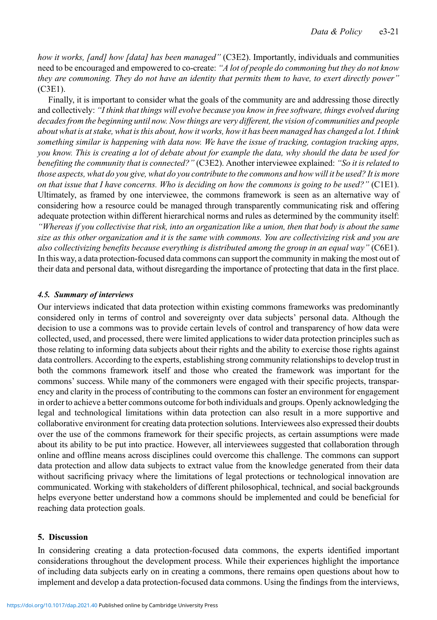how it works, [and] how [data] has been managed" (C3E2). Importantly, individuals and communities need to be encouraged and empowered to co-create: "A lot of people do commoning but they do not know they are commoning. They do not have an identity that permits them to have, to exert directly power" (C3E1).

Finally, it is important to consider what the goals of the community are and addressing those directly and collectively: "I think that things will evolve because you know in free software, things evolved during decades from the beginning until now. Now things are very different, the vision of communities and people about what is at stake, what is this about, how it works, how it has been managed has changed a lot. I think something similar is happening with data now. We have the issue of tracking, contagion tracking apps, you know. This is creating a lot of debate about for example the data, why should the data be used for benefiting the community that is connected?" (C3E2). Another interviewee explained: "So it is related to those aspects, what do you give, what do you contribute to the commons and how will it be used? It is more on that issue that I have concerns. Who is deciding on how the commons is going to be used?" (C1E1). Ultimately, as framed by one interviewee, the commons framework is seen as an alternative way of considering how a resource could be managed through transparently communicating risk and offering adequate protection within different hierarchical norms and rules as determined by the community itself: "Whereas if you collectivise that risk, into an organization like a union, then that body is about the same size as this other organization and it is the same with commons. You are collectivizing risk and you are also collectivizing benefits because everything is distributed among the group in an equal way" (C6E1). In this way, a data protection-focused data commons can support the community in making the most out of their data and personal data, without disregarding the importance of protecting that data in the first place.

## 4.5. Summary of interviews

Our interviews indicated that data protection within existing commons frameworks was predominantly considered only in terms of control and sovereignty over data subjects' personal data. Although the decision to use a commons was to provide certain levels of control and transparency of how data were collected, used, and processed, there were limited applications to wider data protection principles such as those relating to informing data subjects about their rights and the ability to exercise those rights against data controllers. According to the experts, establishing strong community relationships to develop trust in both the commons framework itself and those who created the framework was important for the commons' success. While many of the commoners were engaged with their specific projects, transparency and clarity in the process of contributing to the commons can foster an environment for engagement in order to achieve a better commons outcome for both individuals and groups. Openly acknowledging the legal and technological limitations within data protection can also result in a more supportive and collaborative environment for creating data protection solutions. Interviewees also expressed their doubts over the use of the commons framework for their specific projects, as certain assumptions were made about its ability to be put into practice. However, all interviewees suggested that collaboration through online and offline means across disciplines could overcome this challenge. The commons can support data protection and allow data subjects to extract value from the knowledge generated from their data without sacrificing privacy where the limitations of legal protections or technological innovation are communicated. Working with stakeholders of different philosophical, technical, and social backgrounds helps everyone better understand how a commons should be implemented and could be beneficial for reaching data protection goals.

## 5. Discussion

In considering creating a data protection-focused data commons, the experts identified important considerations throughout the development process. While their experiences highlight the importance of including data subjects early on in creating a commons, there remains open questions about how to implement and develop a data protection-focused data commons. Using the findings from the interviews,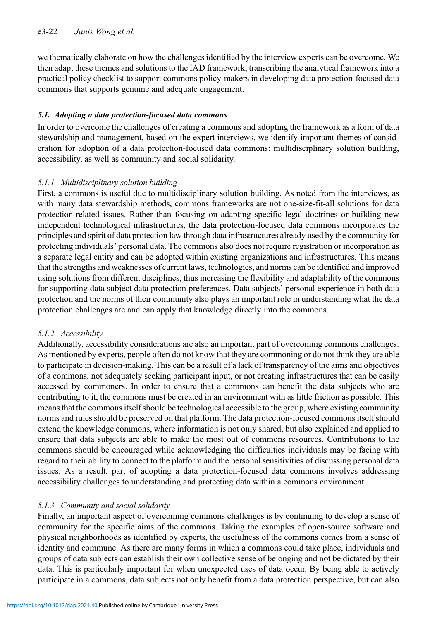## e3-22 Janis Wong et al.

we thematically elaborate on how the challenges identified by the interview experts can be overcome. We then adapt these themes and solutions to the IAD framework, transcribing the analytical framework into a practical policy checklist to support commons policy-makers in developing data protection-focused data commons that supports genuine and adequate engagement.

## 5.1. Adopting a data protection-focused data commons

In order to overcome the challenges of creating a commons and adopting the framework as a form of data stewardship and management, based on the expert interviews, we identify important themes of consideration for adoption of a data protection-focused data commons: multidisciplinary solution building, accessibility, as well as community and social solidarity.

## 5.1.1. Multidisciplinary solution building

First, a commons is useful due to multidisciplinary solution building. As noted from the interviews, as with many data stewardship methods, commons frameworks are not one-size-fit-all solutions for data protection-related issues. Rather than focusing on adapting specific legal doctrines or building new independent technological infrastructures, the data protection-focused data commons incorporates the principles and spirit of data protection law through data infrastructures already used by the community for protecting individuals' personal data. The commons also does not require registration or incorporation as a separate legal entity and can be adopted within existing organizations and infrastructures. This means that the strengths and weaknesses of current laws, technologies, and norms can be identified and improved using solutions from different disciplines, thus increasing the flexibility and adaptability of the commons for supporting data subject data protection preferences. Data subjects' personal experience in both data protection and the norms of their community also plays an important role in understanding what the data protection challenges are and can apply that knowledge directly into the commons.

## 5.1.2. Accessibility

Additionally, accessibility considerations are also an important part of overcoming commons challenges. As mentioned by experts, people often do not know that they are commoning or do not think they are able to participate in decision-making. This can be a result of a lack of transparency of the aims and objectives of a commons, not adequately seeking participant input, or not creating infrastructures that can be easily accessed by commoners. In order to ensure that a commons can benefit the data subjects who are contributing to it, the commons must be created in an environment with as little friction as possible. This means that the commons itself should be technological accessible to the group, where existing community norms and rules should be preserved on that platform. The data protection-focused commons itself should extend the knowledge commons, where information is not only shared, but also explained and applied to ensure that data subjects are able to make the most out of commons resources. Contributions to the commons should be encouraged while acknowledging the difficulties individuals may be facing with regard to their ability to connect to the platform and the personal sensitivities of discussing personal data issues. As a result, part of adopting a data protection-focused data commons involves addressing accessibility challenges to understanding and protecting data within a commons environment.

## 5.1.3. Community and social solidarity

Finally, an important aspect of overcoming commons challenges is by continuing to develop a sense of community for the specific aims of the commons. Taking the examples of open-source software and physical neighborhoods as identified by experts, the usefulness of the commons comes from a sense of identity and commune. As there are many forms in which a commons could take place, individuals and groups of data subjects can establish their own collective sense of belonging and not be dictated by their data. This is particularly important for when unexpected uses of data occur. By being able to actively participate in a commons, data subjects not only benefit from a data protection perspective, but can also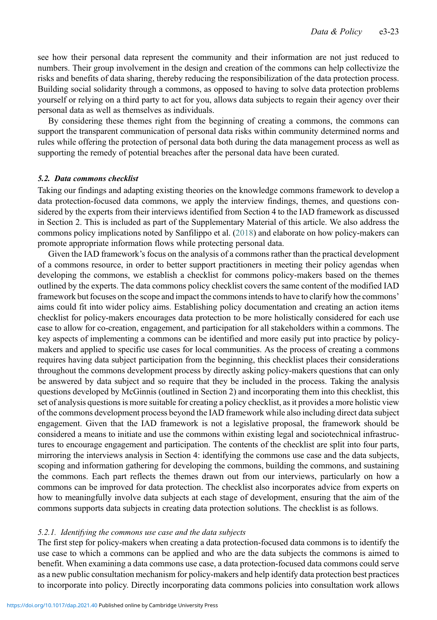see how their personal data represent the community and their information are not just reduced to numbers. Their group involvement in the design and creation of the commons can help collectivize the risks and benefits of data sharing, thereby reducing the responsibilization of the data protection process. Building social solidarity through a commons, as opposed to having to solve data protection problems yourself or relying on a third party to act for you, allows data subjects to regain their agency over their personal data as well as themselves as individuals.

By considering these themes right from the beginning of creating a commons, the commons can support the transparent communication of personal data risks within community determined norms and rules while offering the protection of personal data both during the data management process as well as supporting the remedy of potential breaches after the personal data have been curated.

## 5.2. Data commons checklist

Taking our findings and adapting existing theories on the knowledge commons framework to develop a data protection-focused data commons, we apply the interview findings, themes, and questions considered by the experts from their interviews identified from Section 4 to the IAD framework as discussed in Section 2. This is included as part of the Supplementary Material of this article. We also address the commons policy implications noted by Sanfilippo et al. [\(2018\)](#page-29-22) and elaborate on how policy-makers can promote appropriate information flows while protecting personal data.

Given the IAD framework's focus on the analysis of a commons rather than the practical development of a commons resource, in order to better support practitioners in meeting their policy agendas when developing the commons, we establish a checklist for commons policy-makers based on the themes outlined by the experts. The data commons policy checklist covers the same content of the modified IAD framework but focuses on the scope and impact the commons intends to have to clarify how the commons' aims could fit into wider policy aims. Establishing policy documentation and creating an action items checklist for policy-makers encourages data protection to be more holistically considered for each use case to allow for co-creation, engagement, and participation for all stakeholders within a commons. The key aspects of implementing a commons can be identified and more easily put into practice by policymakers and applied to specific use cases for local communities. As the process of creating a commons requires having data subject participation from the beginning, this checklist places their considerations throughout the commons development process by directly asking policy-makers questions that can only be answered by data subject and so require that they be included in the process. Taking the analysis questions developed by McGinnis (outlined in Section 2) and incorporating them into this checklist, this set of analysis questions is more suitable for creating a policy checklist, as it provides a more holistic view of the commons development process beyond the IAD framework while also including direct data subject engagement. Given that the IAD framework is not a legislative proposal, the framework should be considered a means to initiate and use the commons within existing legal and sociotechnical infrastructures to encourage engagement and participation. The contents of the checklist are split into four parts, mirroring the interviews analysis in Section 4: identifying the commons use case and the data subjects, scoping and information gathering for developing the commons, building the commons, and sustaining the commons. Each part reflects the themes drawn out from our interviews, particularly on how a commons can be improved for data protection. The checklist also incorporates advice from experts on how to meaningfully involve data subjects at each stage of development, ensuring that the aim of the commons supports data subjects in creating data protection solutions. The checklist is as follows.

#### 5.2.1. Identifying the commons use case and the data subjects

The first step for policy-makers when creating a data protection-focused data commons is to identify the use case to which a commons can be applied and who are the data subjects the commons is aimed to benefit. When examining a data commons use case, a data protection-focused data commons could serve as a new public consultation mechanism for policy-makers and help identify data protection best practices to incorporate into policy. Directly incorporating data commons policies into consultation work allows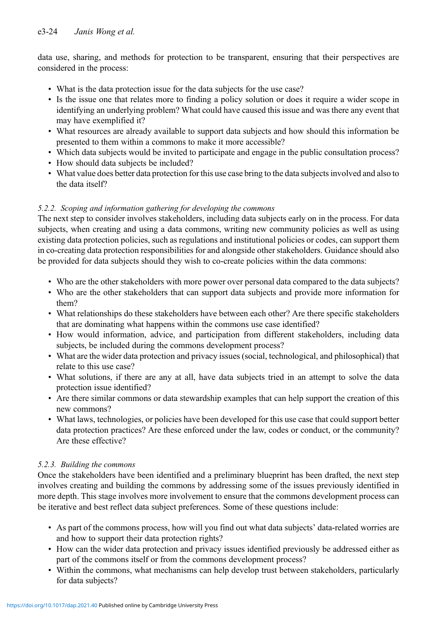data use, sharing, and methods for protection to be transparent, ensuring that their perspectives are considered in the process:

- What is the data protection issue for the data subjects for the use case?
- Is the issue one that relates more to finding a policy solution or does it require a wider scope in identifying an underlying problem? What could have caused this issue and was there any event that may have exemplified it?
- What resources are already available to support data subjects and how should this information be presented to them within a commons to make it more accessible?
- Which data subjects would be invited to participate and engage in the public consultation process?
- How should data subjects be included?
- What value does better data protection for this use case bring to the data subjects involved and also to the data itself?

# 5.2.2. Scoping and information gathering for developing the commons

The next step to consider involves stakeholders, including data subjects early on in the process. For data subjects, when creating and using a data commons, writing new community policies as well as using existing data protection policies, such as regulations and institutional policies or codes, can support them in co-creating data protection responsibilities for and alongside other stakeholders. Guidance should also be provided for data subjects should they wish to co-create policies within the data commons:

- Who are the other stakeholders with more power over personal data compared to the data subjects?
- Who are the other stakeholders that can support data subjects and provide more information for them?
- What relationships do these stakeholders have between each other? Are there specific stakeholders that are dominating what happens within the commons use case identified?
- How would information, advice, and participation from different stakeholders, including data subjects, be included during the commons development process?
- What are the wider data protection and privacy issues (social, technological, and philosophical) that relate to this use case?
- What solutions, if there are any at all, have data subjects tried in an attempt to solve the data protection issue identified?
- Are there similar commons or data stewardship examples that can help support the creation of this new commons?
- What laws, technologies, or policies have been developed for this use case that could support better data protection practices? Are these enforced under the law, codes or conduct, or the community? Are these effective?

# 5.2.3. Building the commons

Once the stakeholders have been identified and a preliminary blueprint has been drafted, the next step involves creating and building the commons by addressing some of the issues previously identified in more depth. This stage involves more involvement to ensure that the commons development process can be iterative and best reflect data subject preferences. Some of these questions include:

- As part of the commons process, how will you find out what data subjects' data-related worries are and how to support their data protection rights?
- How can the wider data protection and privacy issues identified previously be addressed either as part of the commons itself or from the commons development process?
- Within the commons, what mechanisms can help develop trust between stakeholders, particularly for data subjects?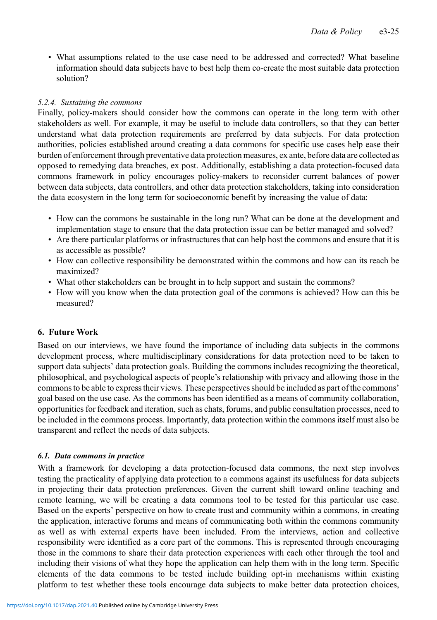• What assumptions related to the use case need to be addressed and corrected? What baseline information should data subjects have to best help them co-create the most suitable data protection solution?

## 5.2.4. Sustaining the commons

Finally, policy-makers should consider how the commons can operate in the long term with other stakeholders as well. For example, it may be useful to include data controllers, so that they can better understand what data protection requirements are preferred by data subjects. For data protection authorities, policies established around creating a data commons for specific use cases help ease their burden of enforcement through preventative data protection measures, ex ante, before data are collected as opposed to remedying data breaches, ex post. Additionally, establishing a data protection-focused data commons framework in policy encourages policy-makers to reconsider current balances of power between data subjects, data controllers, and other data protection stakeholders, taking into consideration the data ecosystem in the long term for socioeconomic benefit by increasing the value of data:

- How can the commons be sustainable in the long run? What can be done at the development and implementation stage to ensure that the data protection issue can be better managed and solved?
- Are there particular platforms or infrastructures that can help host the commons and ensure that it is as accessible as possible?
- How can collective responsibility be demonstrated within the commons and how can its reach be maximized?
- What other stakeholders can be brought in to help support and sustain the commons?
- How will you know when the data protection goal of the commons is achieved? How can this be measured?

# 6. Future Work

Based on our interviews, we have found the importance of including data subjects in the commons development process, where multidisciplinary considerations for data protection need to be taken to support data subjects' data protection goals. Building the commons includes recognizing the theoretical, philosophical, and psychological aspects of people's relationship with privacy and allowing those in the commons to be able to express their views. These perspectives should be included as part of the commons' goal based on the use case. As the commons has been identified as a means of community collaboration, opportunities for feedback and iteration, such as chats, forums, and public consultation processes, need to be included in the commons process. Importantly, data protection within the commons itself must also be transparent and reflect the needs of data subjects.

## 6.1. Data commons in practice

With a framework for developing a data protection-focused data commons, the next step involves testing the practicality of applying data protection to a commons against its usefulness for data subjects in projecting their data protection preferences. Given the current shift toward online teaching and remote learning, we will be creating a data commons tool to be tested for this particular use case. Based on the experts' perspective on how to create trust and community within a commons, in creating the application, interactive forums and means of communicating both within the commons community as well as with external experts have been included. From the interviews, action and collective responsibility were identified as a core part of the commons. This is represented through encouraging those in the commons to share their data protection experiences with each other through the tool and including their visions of what they hope the application can help them with in the long term. Specific elements of the data commons to be tested include building opt-in mechanisms within existing platform to test whether these tools encourage data subjects to make better data protection choices,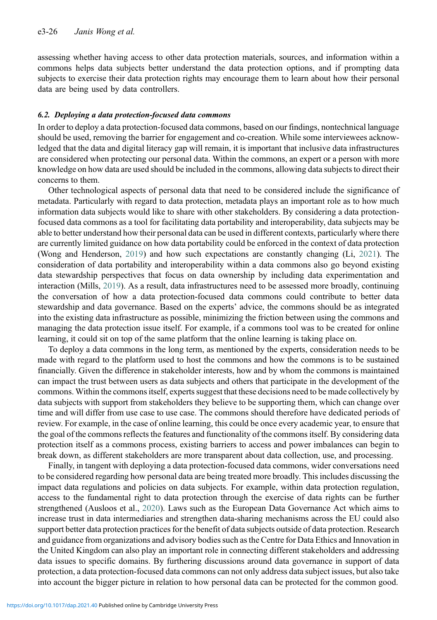assessing whether having access to other data protection materials, sources, and information within a commons helps data subjects better understand the data protection options, and if prompting data subjects to exercise their data protection rights may encourage them to learn about how their personal data are being used by data controllers.

#### 6.2. Deploying a data protection-focused data commons

In order to deploy a data protection-focused data commons, based on our findings, nontechnical language should be used, removing the barrier for engagement and co-creation. While some interviewees acknowledged that the data and digital literacy gap will remain, it is important that inclusive data infrastructures are considered when protecting our personal data. Within the commons, an expert or a person with more knowledge on how data are used should be included in the commons, allowing data subjects to direct their concerns to them.

Other technological aspects of personal data that need to be considered include the significance of metadata. Particularly with regard to data protection, metadata plays an important role as to how much information data subjects would like to share with other stakeholders. By considering a data protectionfocused data commons as a tool for facilitating data portability and interoperability, data subjects may be able to better understand how their personal data can be used in different contexts, particularly where there are currently limited guidance on how data portability could be enforced in the context of data protection (Wong and Henderson, [2019\)](#page-30-17) and how such expectations are constantly changing (Li, [2021](#page-28-28)). The consideration of data portability and interoperability within a data commons also go beyond existing data stewardship perspectives that focus on data ownership by including data experimentation and interaction (Mills, [2019](#page-29-28)). As a result, data infrastructures need to be assessed more broadly, continuing the conversation of how a data protection-focused data commons could contribute to better data stewardship and data governance. Based on the experts' advice, the commons should be as integrated into the existing data infrastructure as possible, minimizing the friction between using the commons and managing the data protection issue itself. For example, if a commons tool was to be created for online learning, it could sit on top of the same platform that the online learning is taking place on.

To deploy a data commons in the long term, as mentioned by the experts, consideration needs to be made with regard to the platform used to host the commons and how the commons is to be sustained financially. Given the difference in stakeholder interests, how and by whom the commons is maintained can impact the trust between users as data subjects and others that participate in the development of the commons. Within the commons itself, experts suggest that these decisions need to be made collectively by data subjects with support from stakeholders they believe to be supporting them, which can change over time and will differ from use case to use case. The commons should therefore have dedicated periods of review. For example, in the case of online learning, this could be once every academic year, to ensure that the goal of the commons reflects the features and functionality of the commons itself. By considering data protection itself as a commons process, existing barriers to access and power imbalances can begin to break down, as different stakeholders are more transparent about data collection, use, and processing.

Finally, in tangent with deploying a data protection-focused data commons, wider conversations need to be considered regarding how personal data are being treated more broadly. This includes discussing the impact data regulations and policies on data subjects. For example, within data protection regulation, access to the fundamental right to data protection through the exercise of data rights can be further strengthened (Ausloos et al., [2020\)](#page-27-26). Laws such as the European Data Governance Act which aims to increase trust in data intermediaries and strengthen data-sharing mechanisms across the EU could also support better data protection practices for the benefit of data subjects outside of data protection. Research and guidance from organizations and advisory bodies such as the Centre for Data Ethics and Innovation in the United Kingdom can also play an important role in connecting different stakeholders and addressing data issues to specific domains. By furthering discussions around data governance in support of data protection, a data protection-focused data commons can not only address data subject issues, but also take into account the bigger picture in relation to how personal data can be protected for the common good.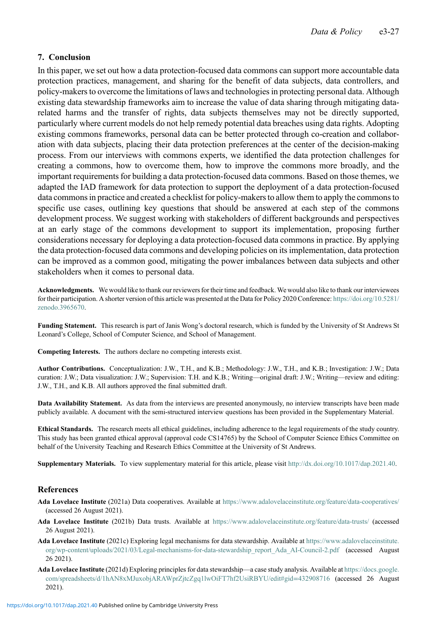## 7. Conclusion

In this paper, we set out how a data protection-focused data commons can support more accountable data protection practices, management, and sharing for the benefit of data subjects, data controllers, and policy-makers to overcome the limitations of laws and technologies in protecting personal data. Although existing data stewardship frameworks aim to increase the value of data sharing through mitigating datarelated harms and the transfer of rights, data subjects themselves may not be directly supported, particularly where current models do not help remedy potential data breaches using data rights. Adopting existing commons frameworks, personal data can be better protected through co-creation and collaboration with data subjects, placing their data protection preferences at the center of the decision-making process. From our interviews with commons experts, we identified the data protection challenges for creating a commons, how to overcome them, how to improve the commons more broadly, and the important requirements for building a data protection-focused data commons. Based on those themes, we adapted the IAD framework for data protection to support the deployment of a data protection-focused data commons in practice and created a checklist for policy-makers to allow them to apply the commons to specific use cases, outlining key questions that should be answered at each step of the commons development process. We suggest working with stakeholders of different backgrounds and perspectives at an early stage of the commons development to support its implementation, proposing further considerations necessary for deploying a data protection-focused data commons in practice. By applying the data protection-focused data commons and developing policies on its implementation, data protection can be improved as a common good, mitigating the power imbalances between data subjects and other stakeholders when it comes to personal data.

Acknowledgments. We would like to thank our reviewers for their time and feedback. We would also like to thank our interviewees for their participation. A shorter version of this article was presented at the Data for Policy 2020 Conference: [https://doi.org/10.5281/](https://doi.org/10.5281/zenodo.3965670) [zenodo.3965670](https://doi.org/10.5281/zenodo.3965670).

Funding Statement. This research is part of Janis Wong's doctoral research, which is funded by the University of St Andrews St Leonard's College, School of Computer Science, and School of Management.

Competing Interests. The authors declare no competing interests exist.

Author Contributions. Conceptualization: J.W., T.H., and K.B.; Methodology: J.W., T.H., and K.B.; Investigation: J.W.; Data curation: J.W.; Data visualization: J.W.; Supervision: T.H. and K.B.; Writing—original draft: J.W.; Writing—review and editing: J.W., T.H., and K.B. All authors approved the final submitted draft.

Data Availability Statement. As data from the interviews are presented anonymously, no interview transcripts have been made publicly available. A document with the semi-structured interview questions has been provided in the Supplementary Material.

Ethical Standards. The research meets all ethical guidelines, including adherence to the legal requirements of the study country. This study has been granted ethical approval (approval code CS14765) by the School of Computer Science Ethics Committee on behalf of the University Teaching and Research Ethics Committee at the University of St Andrews.

Supplementary Materials. To view supplementary material for this article, please visit [http://dx.doi.org/10.1017/dap.2021.40](http://doi.org/10.1017/dap.2021.40).

#### <span id="page-26-2"></span>References

- <span id="page-26-1"></span>Ada Lovelace Institute (2021a) Data cooperatives. Available at <https://www.adalovelaceinstitute.org/feature/data-cooperatives/> (accessed 26 August 2021).
- <span id="page-26-0"></span>Ada Lovelace Institute (2021b) Data trusts. Available at [https://www.adalovelaceinstitute.org/feature/data-trusts/](https://www.adalovelaceinstitute.org/feature/data-trusts/feature/data-trusts/) (accessed 26 August 2021).
- <span id="page-26-3"></span>Ada Lovelace Institute (2021c) Exploring legal mechanisms for data stewardship. Available at [https://www.adalovelaceinstitute.](https://www.adalovelaceinstitute.org/wp-content/uploads/2021/03/Legal-mechanisms-for-data-stewardship_report_Ada_AI-Council-2.pdf) [org/wp-content/uploads/2021/03/Legal-mechanisms-for-data-stewardship\\_report\\_Ada\\_AI-Council-2.pdf](https://www.adalovelaceinstitute.org/wp-content/uploads/2021/03/Legal-mechanisms-for-data-stewardship_report_Ada_AI-Council-2.pdf) (accessed August 26 2021).
- Ada Lovelace Institute (2021d) Exploring principles for data stewardship—a case study analysis. Available at [https://docs.google.](https://docs.google.com/spreadsheets/d/1hAN8xMJuxobjARAWprZjtcZgq1lwOiFT7hf2UsiRBYU/edit#gid=432908716) [com/spreadsheets/d/1hAN8xMJuxobjARAWprZjtcZgq1lwOiFT7hf2UsiRBYU/edit#gid](https://docs.google.com/spreadsheets/d/1hAN8xMJuxobjARAWprZjtcZgq1lwOiFT7hf2UsiRBYU/edit#gid=432908716)=432908716 (accessed 26 August 2021).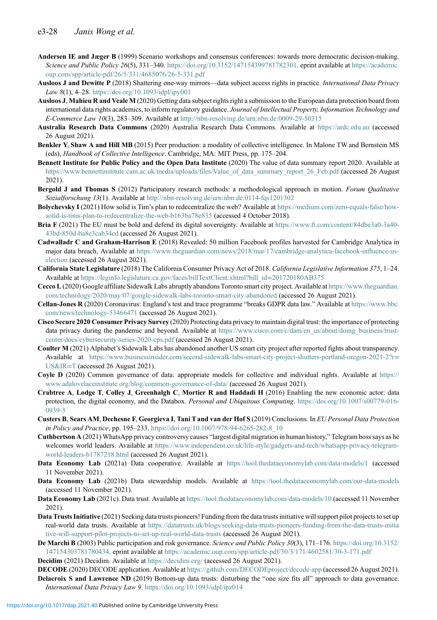- <span id="page-27-15"></span>Andersen IE and Jæger B (1999) Scenario workshops and consensus conferences: towards more democratic decision-making. Science and Public Policy 26(5), 331-340. <https://doi.org/10.3152/147154399781782301>. eprint available at [https://academic.](https://academic.oup.com/spp/article-pdf/26/5/331/4685076/26-5-331.pdf) [oup.com/spp/article-pdf/26/5/331/4685076/26-5-331.pdf](https://academic.oup.com/spp/article-pdf/26/5/331/4685076/26-5-331.pdf)
- <span id="page-27-6"></span>Ausloos J and Dewitte P (2018) Shattering one-way mirrors—data subject access rights in practice. International Data Privacy Law 8(1), 4–28. <https://doi.org/10.1093/idpl/ipy001>
- <span id="page-27-26"></span>Ausloos J, Mahieu R and Veale M (2020) Getting data subject rights right a submission to the European data protection board from international data rights academics, to inform regulatory guidance. Journal of Intellectual Property, Information Technology and E-Commerce Law 10(3), 283–309. Available at <http://nbn-resolving.de/urn:nbn:de:0009-29-50315>
- <span id="page-27-19"></span>Australia Research Data Commons (2020) Australia Research Data Commons. Available at <https://ardc.edu.au> (accessed 26 August 2021).
- <span id="page-27-18"></span>Benkler Y, Shaw A and Hill MB (2015) Peer production: a modality of collective intelligence. In Malone TW and Bernstein MS (eds), Handbook of Collective Intelligence. Cambridge, MA: MIT Press, pp. 175–204.
- <span id="page-27-25"></span>Bennett Institute for Public Policy and the Open Data Institute (2020) The value of data summary report 2020. Available at https://www.bennettinstitute.cam.ac.uk/media/uploads/files/Value of data summary report 26 Feb.pdf (accessed 26 August 2021).
- <span id="page-27-14"></span>Bergold J and Thomas S (2012) Participatory research methods: a methodological approach in motion. Forum Qualitative Sozialforschung 13(1). Available at <http://nbn-resolving.de/urn:nbn:de:0114-fqs1201302>
- <span id="page-27-8"></span>Bolychevsky I (2021) How solid is Tim's plan to redecentralize the web? Available at [https://medium.com/zero-equals-false/how](https://medium.com/zero-equals-false/how-solid-is-tims-plan-to-redecentralize-the-web-b163ba78e835)[solid-is-tims-plan-to-redecentralize-the-web-b163ba78e835](https://medium.com/zero-equals-false/how-solid-is-tims-plan-to-redecentralize-the-web-b163ba78e835) (accessed 4 October 2018).
- <span id="page-27-24"></span>Bria F (2021) The EU must be bold and defend its digital sovereignty. Available at [https://www.ft.com/content/84dbe3a0-3a40-](https://www.ft.com/content/84dbe3a0-3a40-43bd-850d-ba8e3cab34cd) [43bd-850d-ba8e3cab34cd](https://www.ft.com/content/84dbe3a0-3a40-43bd-850d-ba8e3cab34cd) (accessed 26 August 2021).
- <span id="page-27-1"></span>Cadwalladr C and Graham-Harrison E (2018) Revealed: 50 million Facebook profiles harvested for Cambridge Analytica in major data breach. Available at [https://www.theguardian.com/news/2018/mar/17/cambridge-analytica-facebook-influence-us](https://www.theguardian.com/news/2018/mar/17/cambridge-analytica-facebook-influence-us-election)[election](https://www.theguardian.com/news/2018/mar/17/cambridge-analytica-facebook-influence-us-election) (accessed 26 August 2021).
- <span id="page-27-4"></span>California State Legislature (2018) The California Consumer Privacy Act of 2018. California Legislative Information 375, 1–24. Available at [https://leginfo.legislature.ca.gov/faces/billTextClient.xhtml?bill\\_id](https://leginfo.legislature.ca.gov/faces/billTextClient.xhtml?bill_id=201720180AB375)=201720180AB375
- <span id="page-27-20"></span>Cecco L(2020) Google affiliate Sidewalk Labs abruptly abandons Toronto smart city project. Available at [https://www.theguardian.](https://www.theguardian.com/technology/2020/may/07/google-sidewalk-labs-toronto-smart-city-abandoned) [com/technology/2020/may/07/google-sidewalk-labs-toronto-smart-city-abandoned](https://www.theguardian.com/technology/2020/may/07/google-sidewalk-labs-toronto-smart-city-abandoned) (accessed 26 August 2021).
- <span id="page-27-0"></span>Cellan-Jones R (2020) Coronavirus: England's test and trace programme "breaks GDPR data law." Available at [https://www.bbc.](https://www.bbc.com/news/technology-53466471) [com/news/technology-53466471](https://www.bbc.com/news/technology-53466471) (accessed 26 August 2021).
- <span id="page-27-2"></span>Cisco Secure 2020 Consumer Privacy Survey (2020) Protecting data privacy to maintain digital trust: the importance of protecting data privacy during the pandemic and beyond. Available at [https://www.cisco.com/c/dam/en\\_us/about/doing\\_business/trust](https://www.cisco.com/c/dam/en_us/about/doing_business/trust-center/docs/cybersecurity-series-2020-cps.pdf)[center/docs/cybersecurity-series-2020-cps.pdf](https://www.cisco.com/c/dam/en_us/about/doing_business/trust-center/docs/cybersecurity-series-2020-cps.pdf) (accessed 26 August 2021).
- <span id="page-27-21"></span>Coulter M (2021) Alphabet's Sidewalk Labs has abandoned another US smart city project after reported fights about transparency. Available at [https://www.businessinsider.com/second-sidewalk-labs-smart-city-project-shutters-portland-oregon-2021-2?r](https://www.businessinsider.com/second-sidewalk-labs-smart-city-project-shutters-portland-oregon-2021-2?r=USIR=T)= [US&IR](https://www.businessinsider.com/second-sidewalk-labs-smart-city-project-shutters-portland-oregon-2021-2?r=USIR=T)=T (accessed 26 August 2021).
- <span id="page-27-17"></span>Coyle D (2020) Common governance of data: appropriate models for collective and individual rights. Available at [https://](https://www.adalovelaceinstitute.org/blog/common-governance-of-data/) [www.adalovelaceinstitute.org/blog/common-governance-of-data/](https://www.adalovelaceinstitute.org/blog/common-governance-of-data/) (accessed 26 August 2021).
- <span id="page-27-5"></span>Crabtree A, Lodge T, Colley J, Greenhalgh C, Mortier R and Haddadi H (2016) Enabling the new economic actor: data protection, the digital economy, and the Databox. Personal and Ubiquitous Computing. [https://doi.org/10.1007/s00779-016-](https://doi.org/10.1007/s00779-016-0939-3) [0939-3](https://doi.org/10.1007/s00779-016-0939-3)
- <span id="page-27-7"></span>Custers B, Sears AM, Dechesne F, Georgieva I, Tani T and van der Hof S (2019) Conclusions. In EU Personal Data Protection in Policy and Practice, pp. 195–233. [https://doi.org/10.1007/978-94-6265-282-8\\_10](https://doi.org/10.1007/978-94-6265-282-8_10)
- <span id="page-27-3"></span>Cuthbertson A (2021) WhatsApp privacy controversy causes "largest digital migration in human history," Telegram boss says as he welcomes world leaders. Available at [https://www.independent.co.uk/life-style/gadgets-and-tech/whatsapp-privacy-telegram](https://www.independent.co.uk/life-style/gadgets-and-tech/whatsapp-privacy-telegram-world-leaders-b1787218.html)[world-leaders-b1787218.html](https://www.independent.co.uk/life-style/gadgets-and-tech/whatsapp-privacy-telegram-world-leaders-b1787218.html) (accessed 26 August 2021).
- <span id="page-27-13"></span>Data Economy Lab (2021a) Data cooperative. Available at <https://tool.thedataeconomylab.com/data-models/1> (accessed 11 November 2021).
- <span id="page-27-9"></span>Data Economy Lab (2021b) Data stewardship models. Available at <https://tool.thedataeconomylab.com/our-data-models> (accessed 11 November 2021).
- <span id="page-27-11"></span>Data Economy Lab (2021c). Data trust. Available at <https://tool.thedataeconomylab.com/data-models/10> (accessed 11 November 2021).
- <span id="page-27-12"></span>Data Trusts Initiative (2021) Seeking data trusts pioneers! Funding from the data trusts initiative will support pilot projects to set up real-world data trusts. Available at [https://datatrusts.uk/blogs/seeking-data-trusts-pioneers-funding-from-the-data-trusts-initia](https://datatrusts.uk/blogs/seeking-data-trusts-pioneers-funding-from-the-data-trusts-initiative-will-support-pilot-projects-to-set-up-real-world-data-trusts) [tive-will-support-pilot-projects-to-set-up-real-world-data-trusts](https://datatrusts.uk/blogs/seeking-data-trusts-pioneers-funding-from-the-data-trusts-initiative-will-support-pilot-projects-to-set-up-real-world-data-trusts) (accessed 26 August 2021).
- <span id="page-27-16"></span>De Marchi B (2003) Public participation and risk governance. Science and Public Policy 30(3), 171–176. [https://doi.org/10.3152/](https://doi.org/10.3152/147154303781780434) [147154303781780434](https://doi.org/10.3152/147154303781780434). eprint available at <https://academic.oup.com/spp/article-pdf/30/3/171/4602581/30-3-171.pdf>
- <span id="page-27-23"></span><span id="page-27-22"></span>Decidim (2021) Decidim. Available at <https://decidim.org/> (accessed 26 August 2021).
- <span id="page-27-10"></span>DECODE (2020) DECODE application. Available at <https://github.com/DECODEproject/decode-app> (accessed 26 August 2021). Delacroix S and Lawrence ND (2019) Bottom-up data trusts: disturbing the "one size fits all" approach to data governance. International Data Privacy Law 9. <https://doi.org/10.1093/idpl/ipz014>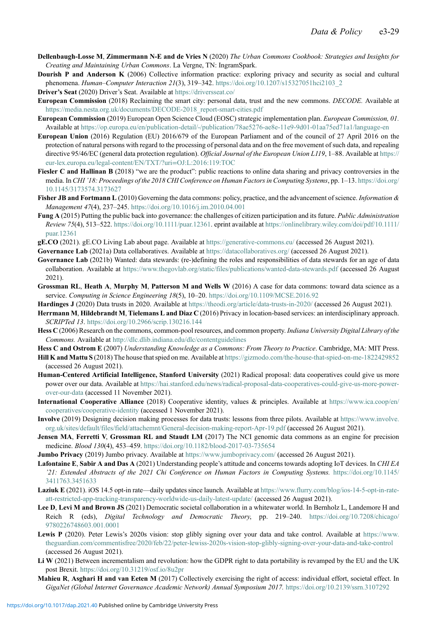- <span id="page-28-26"></span>Dellenbaugh-Losse M, Zimmermann N-E and de Vries N (2020) The Urban Commons Cookbook: Strategies and Insights for Creating and Maintaining Urban Commons. La Vergne, TN: IngramSpark.
- <span id="page-28-18"></span>Dourish P and Anderson K (2006) Collective information practice: exploring privacy and security as social and cultural phenomena. Human–Computer Interaction 21(3), 319–342. [https://doi.org/10.1207/s15327051hci2103\\_2](https://doi.org/10.1207/s15327051hci2103_2)

<span id="page-28-14"></span>Driver's Seat (2020) Driver's Seat. Available at <https://driversseat.co/>

<span id="page-28-25"></span>European Commission (2018) Reclaiming the smart city: personal data, trust and the new commons. DECODE. Available at [https://media.nesta.org.uk/documents/DECODE-2018\\_report-smart-cities.pdf](https://media.nesta.org.uk/documents/DECODE-2018_report-smart-cities.pdf)

- <span id="page-28-22"></span>European Commission (2019) European Open Science Cloud (EOSC) strategic implementation plan. European Commission, 01. Available at <https://op.europa.eu/en/publication-detail/-/publication/78ae5276-ae8e-11e9-9d01-01aa75ed71a1/language-en>
- <span id="page-28-4"></span>European Union (2016) Regulation (EU) 2016/679 of the European Parliament and of the council of 27 April 2016 on the protection of natural persons with regard to the processing of personal data and on the free movement of such data, and repealing directive 95/46/EC (general data protection regulation). Official Journal of the European Union L119, 1–88. Available at [https://](https://eur-lex.europa.eu/legal-content/EN/TXT/?uri=OJ:L:2016:119:TOC) [eur-lex.europa.eu/legal-content/EN/TXT/?uri](https://eur-lex.europa.eu/legal-content/EN/TXT/?uri=OJ:L:2016:119:TOC)=OJ:L:2016:119:TOC
- <span id="page-28-1"></span>Fiesler C and Hallinan B (2018) "we are the product": public reactions to online data sharing and privacy controversies in the media. In CHI '18: Proceedings of the 2018 CHI Conference on Human Factors in Computing Systems, pp. 1-13. [https://doi.org/](https://doi.org/10.1145/3173574.3173627) [10.1145/3173574.3173627](https://doi.org/10.1145/3173574.3173627)
- <span id="page-28-21"></span>Fisher JB and Fortmann L (2010) Governing the data commons: policy, practice, and the advancement of science. *Information*  $\&$ Management 47(4), 237–245. <https://doi.org/10.1016/j.im.2010.04.001>
- <span id="page-28-8"></span>Fung A (2015) Putting the public back into governance: the challenges of citizen participation and its future. Public Administration Review 75(4), 513–522. <https://doi.org/10.1111/puar.12361>. eprint available at [https://onlinelibrary.wiley.com/doi/pdf/10.1111/](https://onlinelibrary.wiley.com/doi/pdf/10.1111/puar.12361) [puar.12361](https://onlinelibrary.wiley.com/doi/pdf/10.1111/puar.12361)
- <span id="page-28-27"></span>gE.CO (2021). gE.CO Living Lab about page. Available at <https://generative-commons.eu/> (accessed 26 August 2021).
- <span id="page-28-16"></span>Governance Lab (2021a) Data collaboratives. Available at <https://datacollaboratives.org/> (accessed 26 August 2021).
- <span id="page-28-9"></span>Governance Lab (2021b) Wanted: data stewards: (re-)defining the roles and responsibilities of data stewards for an age of data collaboration. Available at <https://www.thegovlab.org/static/files/publications/wanted-data-stewards.pdf> (accessed 26 August 2021).
- <span id="page-28-24"></span>Grossman RL, Heath A, Murphy M, Patterson M and Wells W (2016) A case for data commons: toward data science as a service. Computing in Science Engineering 18(5), 10–20. <https://doi.org/10.1109/MCSE.2016.92>
- <span id="page-28-10"></span>Hardinges J (2020) Data trusts in 2020. Available at <https://theodi.org/article/data-trusts-in-2020/> (accessed 26 August 2021).
- <span id="page-28-7"></span>Herrmann M, Hildebrandt M, Tielemans L and Diaz C (2016) Privacy in location-based services: an interdisciplinary approach. SCRIPTed 13. <https://doi.org/10.2966/scrip.130216.144>
- <span id="page-28-17"></span>Hess C (2006) Research on the commons, common-pool resources, and common property. Indiana University Digital Library of the Commons. Available at <http://dlc.dlib.indiana.edu/dlc/contentguidelines>
- <span id="page-28-19"></span>Hess C and Ostrom E (2007) Understanding Knowledge as a Commons: From Theory to Practice. Cambridge, MA: MIT Press.
- <span id="page-28-0"></span>Hill K and Mattu S (2018) The house that spied on me. Available at <https://gizmodo.com/the-house-that-spied-on-me-1822429852> (accessed 26 August 2021).
- <span id="page-28-15"></span>Human-Centered Artificial Intelligence, Stanford University (2021) Radical proposal: data cooperatives could give us more power over our data. Available at [https://hai.stanford.edu/news/radical-proposal-data-cooperatives-could-give-us-more-power](https://hai.stanford.edu/news/radical-proposal-data-cooperatives-could-give-us-more-power-over-our-data)[over-our-data](https://hai.stanford.edu/news/radical-proposal-data-cooperatives-could-give-us-more-power-over-our-data) (accessed 11 November 2021).
- <span id="page-28-13"></span>International Cooperative Alliance (2018) Cooperative identity, values & principles. Available at [https://www.ica.coop/en/](https://www.ica.coop/en/cooperatives/cooperative-identity) [cooperatives/cooperative-identity](https://www.ica.coop/en/cooperatives/cooperative-identity) (accessed 1 November 2021).
- <span id="page-28-11"></span>Involve (2019) Designing decision making processes for data trusts: lessons from three pilots. Available at [https://www.involve.](https://www.involve.org.uk/sites/default/files/field/attachemnt/General-decision-making-report-Apr-19.pdf) [org.uk/sites/default/files/field/attachemnt/General-decision-making-report-Apr-19.pdf](https://www.involve.org.uk/sites/default/files/field/attachemnt/General-decision-making-report-Apr-19.pdf) (accessed 26 August 2021).
- <span id="page-28-23"></span>Jensen MA, Ferretti V, Grossman RL and Staudt LM (2017) The NCI genomic data commons as an engine for precision medicine. Blood 130(4), 453–459. <https://doi.org/10.1182/blood-2017-03-735654>
- <span id="page-28-5"></span>**Jumbo Privacy** (2019) Jumbo privacy. Available at <https://www.jumboprivacy.com/> (accessed 26 August 2021).
- <span id="page-28-2"></span>Lafontaine E, Sabir A and Das A (2021) Understanding people's attitude and concerns towards adopting IoT devices. In CHI EA '21: Extended Abstracts of the 2021 Chi Conference on Human Factors in Computing Systems. [https://doi.org/10.1145/](https://doi.org/10.1145/3411763.3451633) [3411763.3451633](https://doi.org/10.1145/3411763.3451633)
- <span id="page-28-3"></span>Laziuk E (2021). iOS 14.5 opt-in rate—daily updates since launch. Available at [https://www.flurry.com/blog/ios-14-5-opt-in-rate](https://www.flurry.com/blog/ios-14-5-opt-in-rate-att-restricted-app-tracking-transparency-worldwide-us-daily-latest-update/)[att-restricted-app-tracking-transparency-worldwide-us-daily-latest-update/](https://www.flurry.com/blog/ios-14-5-opt-in-rate-att-restricted-app-tracking-transparency-worldwide-us-daily-latest-update/) (accessed 26 August 2021).
- <span id="page-28-20"></span>Lee D. Levi M and Brown JS (2021) Democratic societal collaboration in a whitewater world. In Bernholz L, Landemore H and Reich R (eds), Digital Technology and Democratic Theory, pp. 219–240. [https://doi.org/10.7208/chicago/](https://doi.org/10.7208/chicago/9780226748603.001.0001) [9780226748603.001.0001](https://doi.org/10.7208/chicago/9780226748603.001.0001)
- <span id="page-28-12"></span>Lewis P (2020). Peter Lewis's 2020s vision: stop glibly signing over your data and take control. Available at [https://www.](https://www.theguardian.com/commentisfree/2020/feb/22/peter-lewiss-2020s-vision-stop-glibly-signing-over-your-data-and-take-control) [theguardian.com/commentisfree/2020/feb/22/peter-lewiss-2020s-vision-stop-glibly-signing-over-your-data-and-take-control](https://www.theguardian.com/commentisfree/2020/feb/22/peter-lewiss-2020s-vision-stop-glibly-signing-over-your-data-and-take-control) (accessed 26 August 2021).
- <span id="page-28-28"></span>Li W (2021) Between incrementalism and revolution: how the GDPR right to data portability is revamped by the EU and the UK post Brexit. <https://doi.org/10.31219/osf.io/8u2pr>
- <span id="page-28-6"></span>Mahieu R, Asghari H and van Eeten M (2017) Collectively exercising the right of access: individual effort, societal effect. In GigaNet (Global Internet Governance Academic Network) Annual Symposium 2017. <https://doi.org/10.2139/ssrn.3107292>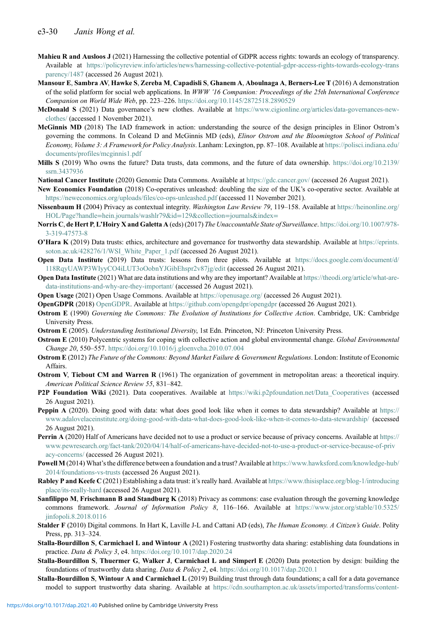- <span id="page-29-27"></span>Mahieu R and Ausloos J (2021) Harnessing the collective potential of GDPR access rights: towards an ecology of transparency. Available at [https://policyreview.info/articles/news/harnessing-collective-potential-gdpr-access-rights-towards-ecology-trans](https://policyreview.info/articles/news/harnessing-collective-potential-gdpr-access-rights-towards-ecology-transparency/1487) [parency/1487](https://policyreview.info/articles/news/harnessing-collective-potential-gdpr-access-rights-towards-ecology-transparency/1487) (accessed 26 August 2021).
- <span id="page-29-1"></span>Mansour E, Sambra AV, Hawke S, Zereba M, Capadisli S, Ghanem A, Aboulnaga A, Berners-Lee T (2016) A demonstration of the solid platform for social web applications. In WWW '16 Companion: Proceedings of the 25th International Conference Companion on World Wide Web, pp. 223–226. <https://doi.org/10.1145/2872518.2890529>
- <span id="page-29-6"></span>McDonald S (2021) Data governance's new clothes. Available at [https://www.cigionline.org/articles/data-governances-new](https://www.cigionline.org/articles/data-governances-new-clothes/)[clothes/](https://www.cigionline.org/articles/data-governances-new-clothes/) (accessed 1 November 2021).
- <span id="page-29-20"></span>McGinnis MD (2018) The IAD framework in action: understanding the source of the design principles in Elinor Ostrom's governing the commons. In Coleand D and McGinnis MD (eds), Elinor Ostrom and the Bloomington School of Political Economy, Volume 3: A Framework for Policy Analysis. Lanham: Lexington, pp. 87-108. Available at [https://polisci.indiana.edu/](https://polisci.indiana.edu/documents/profiles/mcginnis1.pdf) [documents/profiles/mcginnis1.pdf](https://polisci.indiana.edu/documents/profiles/mcginnis1.pdf)
- <span id="page-29-28"></span>Mills S (2019) Who owns the future? Data trusts, data commons, and the future of data ownership. [https://doi.org/10.2139/](https://doi.org/10.2139/ssrn.3437936) [ssrn.3437936](https://doi.org/10.2139/ssrn.3437936)
- <span id="page-29-24"></span>National Cancer Institute (2020) Genomic Data Commons. Available at <https://gdc.cancer.gov/> (accessed 26 August 2021).
- <span id="page-29-12"></span>New Economics Foundation (2018) Co-operatives unleashed: doubling the size of the UK's co-operative sector. Available at <https://neweconomics.org/uploads/files/co-ops-unleashed.pdf> (accessed 11 November 2021).
- <span id="page-29-21"></span>Nissenbaum H (2004) Privacy as contextual integrity. Washington Law Review 79, 119–158. Available at [https://heinonline.org/](https://heinonline.org/HOL/Page?handle=hein.journals/washlr79id=129collection=journalsindex=) HOL/Page?handle=[hein.journals/washlr79&id](https://heinonline.org/HOL/Page?handle=hein.journals/washlr79id=129collection=journalsindex=)=129&collection=journals&index=
- <span id="page-29-3"></span>Norris C, de Hert P, L'Hoiry X and Galetta A (eds) (2017) The Unaccountable State of Surveillance. [https://doi.org/10.1007/978-](https://doi.org/10.1007/978-3-319-47573-8) [3-319-47573-8](https://doi.org/10.1007/978-3-319-47573-8)
- <span id="page-29-5"></span>O'Hara K (2019) Data trusts: ethics, architecture and governance for trustworthy data stewardship. Available at [https://eprints.](https://eprints.soton.ac.uk/428276/1/WSI_White_Paper_1.pdf) [soton.ac.uk/428276/1/WSI\\_White\\_Paper\\_1.pdf](https://eprints.soton.ac.uk/428276/1/WSI_White_Paper_1.pdf) (accessed 26 August 2021).
- <span id="page-29-7"></span>Open Data Institute (2019) Data trusts: lessons from three pilots. Available at [https://docs.google.com/document/d/](https://docs.google.com/document/d/118RqyUAWP3WIyyCO4iLUT3oOobnYJGibEhspr2v87jg/edit) [118RqyUAWP3WIyyCO4iLUT3oOobnYJGibEhspr2v87jg/edit](https://docs.google.com/document/d/118RqyUAWP3WIyyCO4iLUT3oOobnYJGibEhspr2v87jg/edit) (accessed 26 August 2021).
- <span id="page-29-14"></span>Open Data Institute (2021) What are data institutions and why are they important? Available at [https://theodi.org/article/what-are](https://theodi.org/article/what-are-data-institutions-and-why-are-they-important/)[data-institutions-and-why-are-they-important/](https://theodi.org/article/what-are-data-institutions-and-why-are-they-important/) (accessed 26 August 2021).
- <span id="page-29-23"></span>Open Usage (2021) Open Usage Commons. Available at <https://openusage.org/> (accessed 26 August 2021).
- <span id="page-29-2"></span>OpenGDPR (2018) [OpenGDPR.](OpenGDPR) Available at <https://github.com/opengdpr/opengdpr> (accessed 26 August 2021).
- <span id="page-29-4"></span>Ostrom E (1990) Governing the Commons: The Evolution of Institutions for Collective Action. Cambridge, UK: Cambridge University Press.
- <span id="page-29-19"></span>Ostrom E (2005). Understanding Institutional Diversity, 1st Edn. Princeton, NJ: Princeton University Press.
- <span id="page-29-17"></span>**Ostrom E** (2010) Polycentric systems for coping with collective action and global environmental change. Global Environmental Change 20, 550–557. <https://doi.org/10.1016/j.gloenvcha.2010.07.004>
- <span id="page-29-18"></span>Ostrom E (2012) The Future of the Commons: Beyond Market Failure & Government Regulations. London: Institute of Economic Affairs.
- <span id="page-29-16"></span>Ostrom V, Tiebout CM and Warren R (1961) The organization of government in metropolitan areas: a theoretical inquiry. American Political Science Review 55, 831–842.
- <span id="page-29-11"></span>P2P Foundation Wiki (2021). Data cooperatives. Available at https://wiki.p2pfoundation.net/Data Cooperatives (accessed 26 August 2021).
- <span id="page-29-26"></span>Peppin A (2020). Doing good with data: what does good look like when it comes to data stewardship? Available at [https://](https://www.adalovelaceinstitute.org/doing-good-with-data-what-does-good-look-like-when-it-comes-to-data-stewardship/) [www.adalovelaceinstitute.org/doing-good-with-data-what-does-good-look-like-when-it-comes-to-data-stewardship/](https://www.adalovelaceinstitute.org/doing-good-with-data-what-does-good-look-like-when-it-comes-to-data-stewardship/) (accessed 26 August 2021).
- <span id="page-29-0"></span>Perrin A (2020) Half of Americans have decided not to use a product or service because of privacy concerns. Available at [https://](https://www.pewresearch.org/fact-tank/2020/04/14/half-of-americans-have-decided-not-to-use-a-product-or-service-because-of-privacy-concerns/) [www.pewresearch.org/fact-tank/2020/04/14/half-of-americans-have-decided-not-to-use-a-product-or-service-because-of-priv](https://www.pewresearch.org/fact-tank/2020/04/14/half-of-americans-have-decided-not-to-use-a-product-or-service-because-of-privacy-concerns/) [acy-concerns/](https://www.pewresearch.org/fact-tank/2020/04/14/half-of-americans-have-decided-not-to-use-a-product-or-service-because-of-privacy-concerns/) (accessed 26 August 2021).
- <span id="page-29-10"></span>Powell M (2014) What's the difference between a foundation and a trust? Available at [https://www.hawksford.com/knowledge-hub/](https://www.hawksford.com/knowledge-hub/2014/foundations-vs-trusts) [2014/foundations-vs-trusts](https://www.hawksford.com/knowledge-hub/2014/foundations-vs-trusts) (accessed 26 August 2021).
- <span id="page-29-15"></span>Rabley P and Keefe C (2021) Establishing a data trust: it's really hard. Available at [https://www.thisisplace.org/blog-1/introducing](https://www.thisisplace.org/blog-1/introducingplace/its-really-hard) [place/its-really-hard](https://www.thisisplace.org/blog-1/introducingplace/its-really-hard) (accessed 26 August 2021).
- <span id="page-29-22"></span>Sanfilippo M, Frischmann B and Standburg K (2018) Privacy as commons: case evaluation through the governing knowledge commons framework. Journal of Information Policy 8, 116–166. Available at [https://www.jstor.org/stable/10.5325/](https://www.jstor.org/stable/10.5325/jinfopoli.8.2018.0116) [jinfopoli.8.2018.0116](https://www.jstor.org/stable/10.5325/jinfopoli.8.2018.0116)
- <span id="page-29-25"></span>Stalder F (2010) Digital commons. In Hart K, Laville J-L and Cattani AD (eds), The Human Economy. A Citizen's Guide. Polity Press, pp. 313–324.
- <span id="page-29-8"></span>Stalla-Bourdillon S, Carmichael L and Wintour A (2021) Fostering trustworthy data sharing: establishing data foundations in practice. Data & Policy 3, e4. <https://doi.org/10.1017/dap.2020.24>
- <span id="page-29-13"></span>Stalla-Bourdillon S, Thuermer G, Walker J, Carmichael L and Simperl E (2020) Data protection by design: building the foundations of trustworthy data sharing. Data & Policy 2, e4. <https://doi.org/10.1017/dap.2020.1>
- <span id="page-29-9"></span>Stalla-Bourdillon S, Wintour A and Carmichael L (2019) Building trust through data foundations; a call for a data governance model to support trustworthy data sharing. Available at [https://cdn.southampton.ac.uk/assets/imported/transforms/content-](https://cdn.southampton.ac.uk/assets/imported/transforms/content-block/UsefulDownloads_Download/E2360AAB5D274223BFDB863BAFC20F34/White%20Paper%202.pdf)